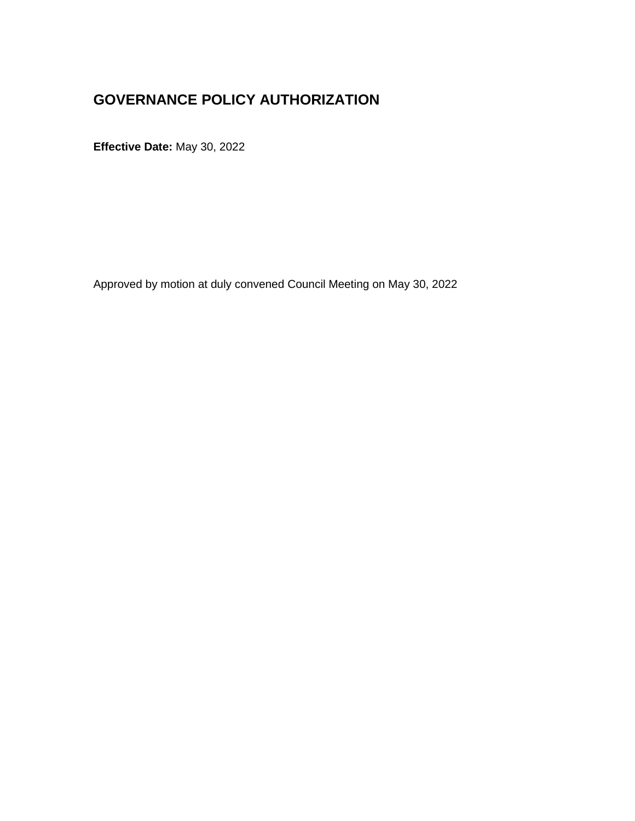## **GOVERNANCE POLICY AUTHORIZATION**

**Effective Date:** May 30, 2022

Approved by motion at duly convened Council Meeting on May 30, 2022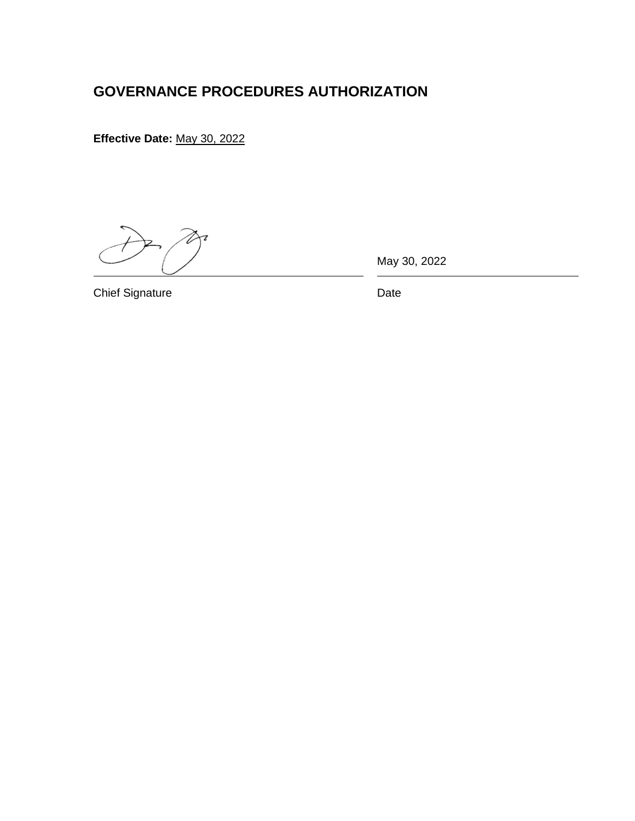## **GOVERNANCE PROCEDURES AUTHORIZATION**

**Effective Date:** May 30, 2022

May 30, 2022

Chief Signature Date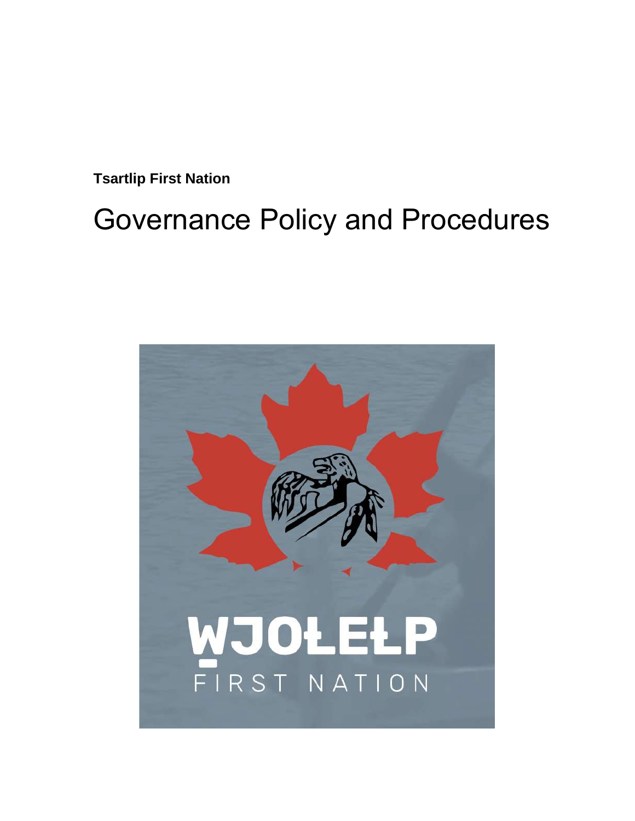**Tsartlip First Nation**

# Governance Policy and Procedures

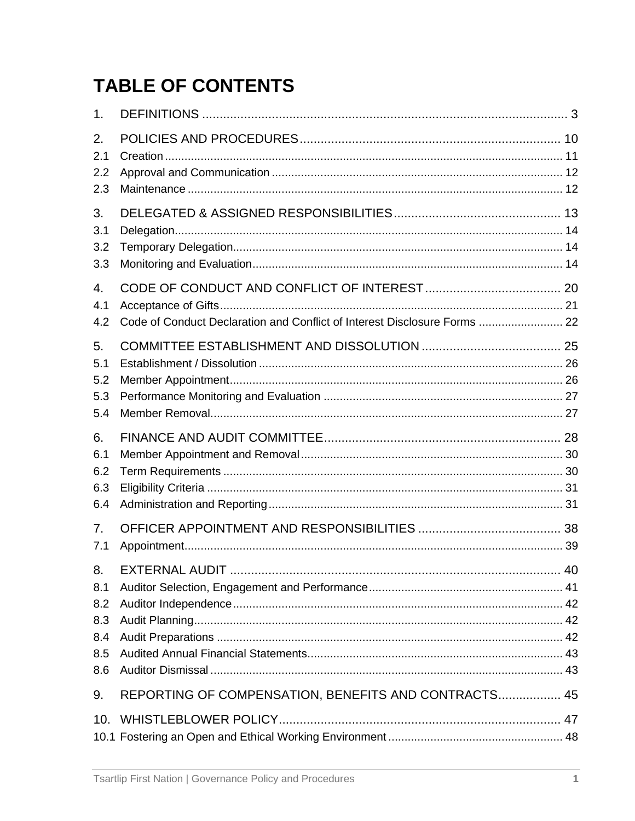## **TABLE OF CONTENTS**

| 1.                                           |                                                                           |  |
|----------------------------------------------|---------------------------------------------------------------------------|--|
| 2.<br>2.1                                    |                                                                           |  |
| 2.2<br>2.3                                   |                                                                           |  |
| 3.<br>3.1<br>3.2<br>3.3                      |                                                                           |  |
| 4.<br>4.1<br>4.2                             | Code of Conduct Declaration and Conflict of Interest Disclosure Forms  22 |  |
| 5.<br>5.1<br>5.2<br>5.3<br>5.4               |                                                                           |  |
| 6.<br>6.1<br>6.2<br>6.3<br>6.4               |                                                                           |  |
| 7.<br>7.1                                    |                                                                           |  |
| 8.<br>8.1<br>8.2<br>8.3<br>8.4<br>8.5<br>8.6 |                                                                           |  |
| 9.                                           | REPORTING OF COMPENSATION, BENEFITS AND CONTRACTS 45                      |  |
|                                              |                                                                           |  |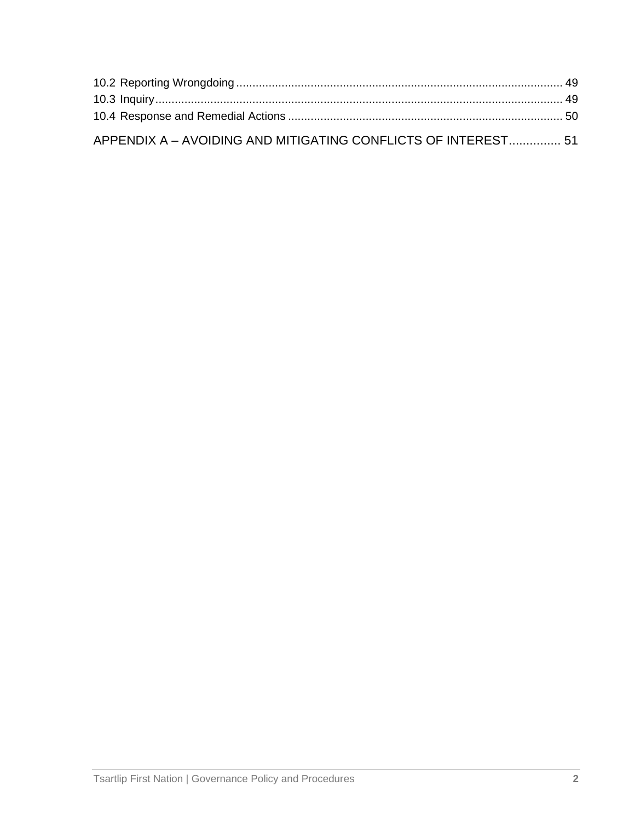| APPENDIX A - AVOIDING AND MITIGATING CONFLICTS OF INTEREST 51 |  |
|---------------------------------------------------------------|--|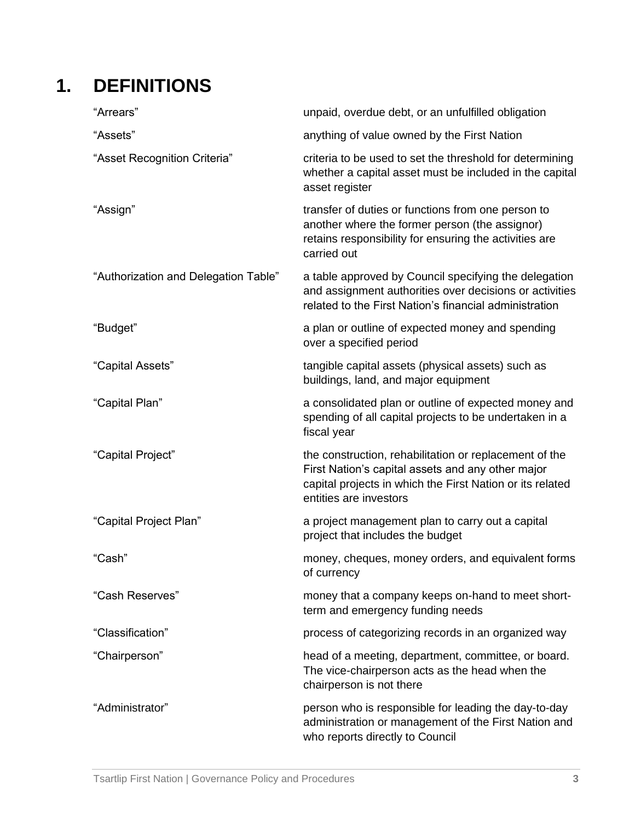## **1. DEFINITIONS**

| "Arrears"                            | unpaid, overdue debt, or an unfulfilled obligation                                                                                                                                                 |
|--------------------------------------|----------------------------------------------------------------------------------------------------------------------------------------------------------------------------------------------------|
| "Assets"                             | anything of value owned by the First Nation                                                                                                                                                        |
| "Asset Recognition Criteria"         | criteria to be used to set the threshold for determining<br>whether a capital asset must be included in the capital<br>asset register                                                              |
| "Assign"                             | transfer of duties or functions from one person to<br>another where the former person (the assignor)<br>retains responsibility for ensuring the activities are<br>carried out                      |
| "Authorization and Delegation Table" | a table approved by Council specifying the delegation<br>and assignment authorities over decisions or activities<br>related to the First Nation's financial administration                         |
| "Budget"                             | a plan or outline of expected money and spending<br>over a specified period                                                                                                                        |
| "Capital Assets"                     | tangible capital assets (physical assets) such as<br>buildings, land, and major equipment                                                                                                          |
| "Capital Plan"                       | a consolidated plan or outline of expected money and<br>spending of all capital projects to be undertaken in a<br>fiscal year                                                                      |
| "Capital Project"                    | the construction, rehabilitation or replacement of the<br>First Nation's capital assets and any other major<br>capital projects in which the First Nation or its related<br>entities are investors |
| "Capital Project Plan"               | a project management plan to carry out a capital<br>project that includes the budget                                                                                                               |
| "Cash"                               | money, cheques, money orders, and equivalent forms<br>of currency                                                                                                                                  |
| "Cash Reserves"                      | money that a company keeps on-hand to meet short-<br>term and emergency funding needs                                                                                                              |
| "Classification"                     | process of categorizing records in an organized way                                                                                                                                                |
| "Chairperson"                        | head of a meeting, department, committee, or board.<br>The vice-chairperson acts as the head when the<br>chairperson is not there                                                                  |
| "Administrator"                      | person who is responsible for leading the day-to-day<br>administration or management of the First Nation and<br>who reports directly to Council                                                    |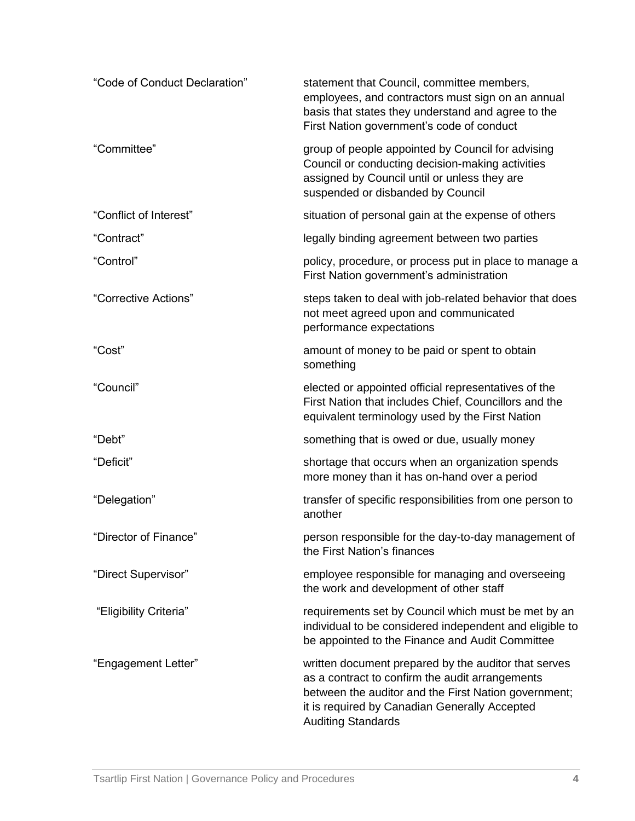| "Code of Conduct Declaration" | statement that Council, committee members,<br>employees, and contractors must sign on an annual<br>basis that states they understand and agree to the<br>First Nation government's code of conduct                                            |
|-------------------------------|-----------------------------------------------------------------------------------------------------------------------------------------------------------------------------------------------------------------------------------------------|
| "Committee"                   | group of people appointed by Council for advising<br>Council or conducting decision-making activities<br>assigned by Council until or unless they are<br>suspended or disbanded by Council                                                    |
| "Conflict of Interest"        | situation of personal gain at the expense of others                                                                                                                                                                                           |
| "Contract"                    | legally binding agreement between two parties                                                                                                                                                                                                 |
| "Control"                     | policy, procedure, or process put in place to manage a<br>First Nation government's administration                                                                                                                                            |
| "Corrective Actions"          | steps taken to deal with job-related behavior that does<br>not meet agreed upon and communicated<br>performance expectations                                                                                                                  |
| "Cost"                        | amount of money to be paid or spent to obtain<br>something                                                                                                                                                                                    |
| "Council"                     | elected or appointed official representatives of the<br>First Nation that includes Chief, Councillors and the<br>equivalent terminology used by the First Nation                                                                              |
| "Debt"                        | something that is owed or due, usually money                                                                                                                                                                                                  |
| "Deficit"                     | shortage that occurs when an organization spends<br>more money than it has on-hand over a period                                                                                                                                              |
| "Delegation"                  | transfer of specific responsibilities from one person to<br>another                                                                                                                                                                           |
| "Director of Finance"         | person responsible for the day-to-day management of<br>the First Nation's finances                                                                                                                                                            |
| "Direct Supervisor"           | employee responsible for managing and overseeing<br>the work and development of other staff                                                                                                                                                   |
| "Eligibility Criteria"        | requirements set by Council which must be met by an<br>individual to be considered independent and eligible to<br>be appointed to the Finance and Audit Committee                                                                             |
| "Engagement Letter"           | written document prepared by the auditor that serves<br>as a contract to confirm the audit arrangements<br>between the auditor and the First Nation government;<br>it is required by Canadian Generally Accepted<br><b>Auditing Standards</b> |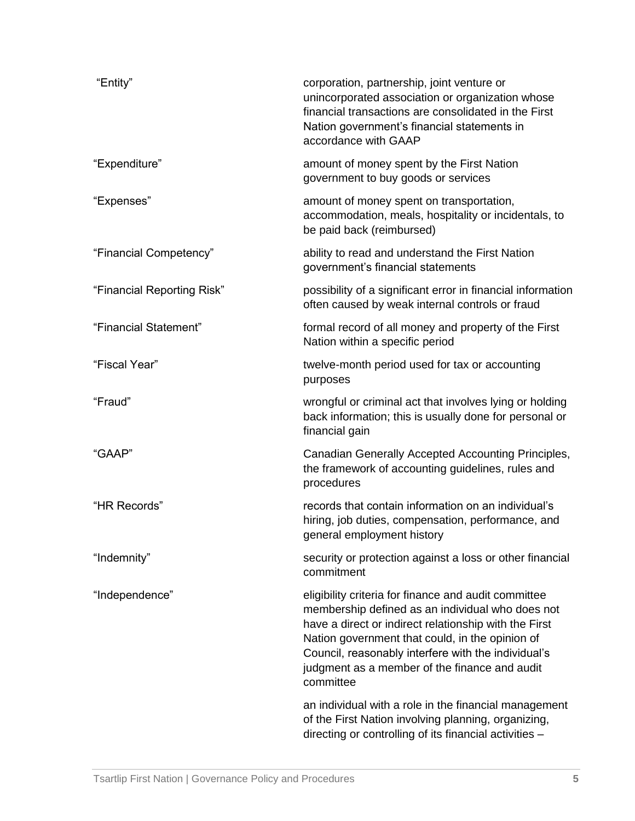| "Entity"                   | corporation, partnership, joint venture or<br>unincorporated association or organization whose<br>financial transactions are consolidated in the First<br>Nation government's financial statements in<br>accordance with GAAP                                                                                                             |
|----------------------------|-------------------------------------------------------------------------------------------------------------------------------------------------------------------------------------------------------------------------------------------------------------------------------------------------------------------------------------------|
| "Expenditure"              | amount of money spent by the First Nation<br>government to buy goods or services                                                                                                                                                                                                                                                          |
| "Expenses"                 | amount of money spent on transportation,<br>accommodation, meals, hospitality or incidentals, to<br>be paid back (reimbursed)                                                                                                                                                                                                             |
| "Financial Competency"     | ability to read and understand the First Nation<br>government's financial statements                                                                                                                                                                                                                                                      |
| "Financial Reporting Risk" | possibility of a significant error in financial information<br>often caused by weak internal controls or fraud                                                                                                                                                                                                                            |
| "Financial Statement"      | formal record of all money and property of the First<br>Nation within a specific period                                                                                                                                                                                                                                                   |
| "Fiscal Year"              | twelve-month period used for tax or accounting<br>purposes                                                                                                                                                                                                                                                                                |
| "Fraud"                    | wrongful or criminal act that involves lying or holding<br>back information; this is usually done for personal or<br>financial gain                                                                                                                                                                                                       |
| "GAAP"                     | Canadian Generally Accepted Accounting Principles,<br>the framework of accounting guidelines, rules and<br>procedures                                                                                                                                                                                                                     |
| "HR Records"               | records that contain information on an individual's<br>hiring, job duties, compensation, performance, and<br>general employment history                                                                                                                                                                                                   |
| "Indemnity"                | security or protection against a loss or other financial<br>commitment                                                                                                                                                                                                                                                                    |
| "Independence"             | eligibility criteria for finance and audit committee<br>membership defined as an individual who does not<br>have a direct or indirect relationship with the First<br>Nation government that could, in the opinion of<br>Council, reasonably interfere with the individual's<br>judgment as a member of the finance and audit<br>committee |
|                            | an individual with a role in the financial management<br>of the First Nation involving planning, organizing,<br>directing or controlling of its financial activities -                                                                                                                                                                    |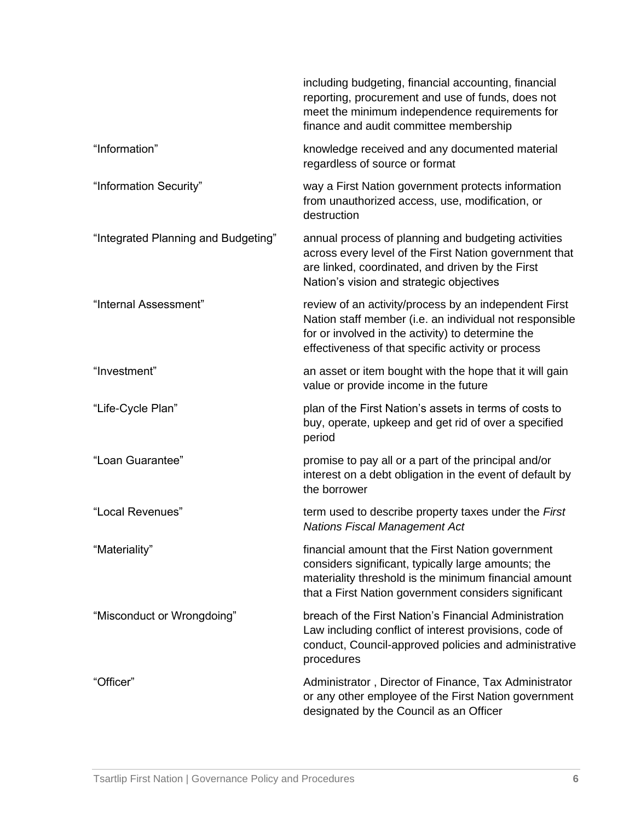|                                     | including budgeting, financial accounting, financial<br>reporting, procurement and use of funds, does not<br>meet the minimum independence requirements for<br>finance and audit committee membership                       |
|-------------------------------------|-----------------------------------------------------------------------------------------------------------------------------------------------------------------------------------------------------------------------------|
| "Information"                       | knowledge received and any documented material<br>regardless of source or format                                                                                                                                            |
| "Information Security"              | way a First Nation government protects information<br>from unauthorized access, use, modification, or<br>destruction                                                                                                        |
| "Integrated Planning and Budgeting" | annual process of planning and budgeting activities<br>across every level of the First Nation government that<br>are linked, coordinated, and driven by the First<br>Nation's vision and strategic objectives               |
| "Internal Assessment"               | review of an activity/process by an independent First<br>Nation staff member (i.e. an individual not responsible<br>for or involved in the activity) to determine the<br>effectiveness of that specific activity or process |
| "Investment"                        | an asset or item bought with the hope that it will gain<br>value or provide income in the future                                                                                                                            |
| "Life-Cycle Plan"                   | plan of the First Nation's assets in terms of costs to<br>buy, operate, upkeep and get rid of over a specified<br>period                                                                                                    |
| "Loan Guarantee"                    | promise to pay all or a part of the principal and/or<br>interest on a debt obligation in the event of default by<br>the borrower                                                                                            |
| "Local Revenues"                    | term used to describe property taxes under the First<br><b>Nations Fiscal Management Act</b>                                                                                                                                |
| "Materiality"                       | financial amount that the First Nation government<br>considers significant, typically large amounts; the<br>materiality threshold is the minimum financial amount<br>that a First Nation government considers significant   |
| "Misconduct or Wrongdoing"          | breach of the First Nation's Financial Administration<br>Law including conflict of interest provisions, code of<br>conduct, Council-approved policies and administrative<br>procedures                                      |
| "Officer"                           | Administrator, Director of Finance, Tax Administrator<br>or any other employee of the First Nation government<br>designated by the Council as an Officer                                                                    |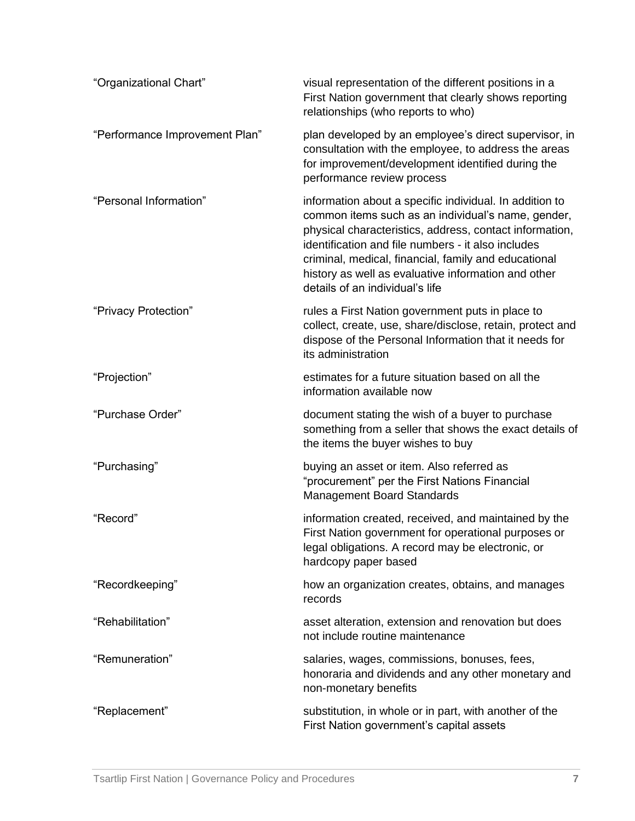| "Organizational Chart"         | visual representation of the different positions in a<br>First Nation government that clearly shows reporting<br>relationships (who reports to who)                                                                                                                                                                                                                              |
|--------------------------------|----------------------------------------------------------------------------------------------------------------------------------------------------------------------------------------------------------------------------------------------------------------------------------------------------------------------------------------------------------------------------------|
| "Performance Improvement Plan" | plan developed by an employee's direct supervisor, in<br>consultation with the employee, to address the areas<br>for improvement/development identified during the<br>performance review process                                                                                                                                                                                 |
| "Personal Information"         | information about a specific individual. In addition to<br>common items such as an individual's name, gender,<br>physical characteristics, address, contact information,<br>identification and file numbers - it also includes<br>criminal, medical, financial, family and educational<br>history as well as evaluative information and other<br>details of an individual's life |
| "Privacy Protection"           | rules a First Nation government puts in place to<br>collect, create, use, share/disclose, retain, protect and<br>dispose of the Personal Information that it needs for<br>its administration                                                                                                                                                                                     |
| "Projection"                   | estimates for a future situation based on all the<br>information available now                                                                                                                                                                                                                                                                                                   |
| "Purchase Order"               | document stating the wish of a buyer to purchase<br>something from a seller that shows the exact details of<br>the items the buyer wishes to buy                                                                                                                                                                                                                                 |
| "Purchasing"                   | buying an asset or item. Also referred as<br>"procurement" per the First Nations Financial<br><b>Management Board Standards</b>                                                                                                                                                                                                                                                  |
| "Record"                       | information created, received, and maintained by the<br>First Nation government for operational purposes or<br>legal obligations. A record may be electronic, or<br>hardcopy paper based                                                                                                                                                                                         |
| "Recordkeeping"                | how an organization creates, obtains, and manages<br>records                                                                                                                                                                                                                                                                                                                     |
| "Rehabilitation"               | asset alteration, extension and renovation but does<br>not include routine maintenance                                                                                                                                                                                                                                                                                           |
| "Remuneration"                 | salaries, wages, commissions, bonuses, fees,<br>honoraria and dividends and any other monetary and<br>non-monetary benefits                                                                                                                                                                                                                                                      |
| "Replacement"                  | substitution, in whole or in part, with another of the<br>First Nation government's capital assets                                                                                                                                                                                                                                                                               |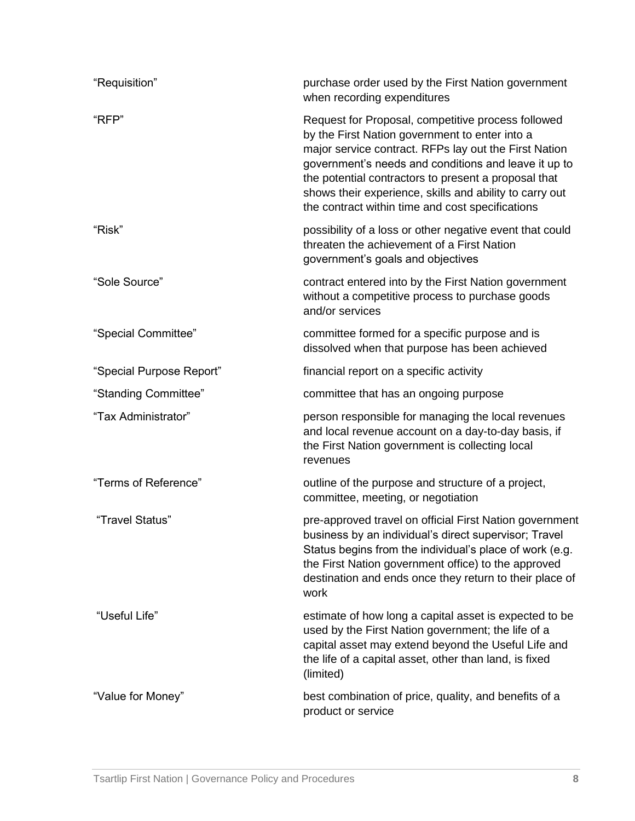| "Requisition"            | purchase order used by the First Nation government<br>when recording expenditures                                                                                                                                                                                                                                                                                                            |
|--------------------------|----------------------------------------------------------------------------------------------------------------------------------------------------------------------------------------------------------------------------------------------------------------------------------------------------------------------------------------------------------------------------------------------|
| "RFP"                    | Request for Proposal, competitive process followed<br>by the First Nation government to enter into a<br>major service contract. RFPs lay out the First Nation<br>government's needs and conditions and leave it up to<br>the potential contractors to present a proposal that<br>shows their experience, skills and ability to carry out<br>the contract within time and cost specifications |
| "Risk"                   | possibility of a loss or other negative event that could<br>threaten the achievement of a First Nation<br>government's goals and objectives                                                                                                                                                                                                                                                  |
| "Sole Source"            | contract entered into by the First Nation government<br>without a competitive process to purchase goods<br>and/or services                                                                                                                                                                                                                                                                   |
| "Special Committee"      | committee formed for a specific purpose and is<br>dissolved when that purpose has been achieved                                                                                                                                                                                                                                                                                              |
| "Special Purpose Report" | financial report on a specific activity                                                                                                                                                                                                                                                                                                                                                      |
| "Standing Committee"     | committee that has an ongoing purpose                                                                                                                                                                                                                                                                                                                                                        |
| "Tax Administrator"      | person responsible for managing the local revenues<br>and local revenue account on a day-to-day basis, if<br>the First Nation government is collecting local<br>revenues                                                                                                                                                                                                                     |
| "Terms of Reference"     | outline of the purpose and structure of a project,<br>committee, meeting, or negotiation                                                                                                                                                                                                                                                                                                     |
| "Travel Status"          | pre-approved travel on official First Nation government<br>business by an individual's direct supervisor; Travel<br>Status begins from the individual's place of work (e.g.<br>the First Nation government office) to the approved<br>destination and ends once they return to their place of<br>work                                                                                        |
| "Useful Life"            | estimate of how long a capital asset is expected to be<br>used by the First Nation government; the life of a<br>capital asset may extend beyond the Useful Life and<br>the life of a capital asset, other than land, is fixed<br>(limited)                                                                                                                                                   |
| "Value for Money"        | best combination of price, quality, and benefits of a<br>product or service                                                                                                                                                                                                                                                                                                                  |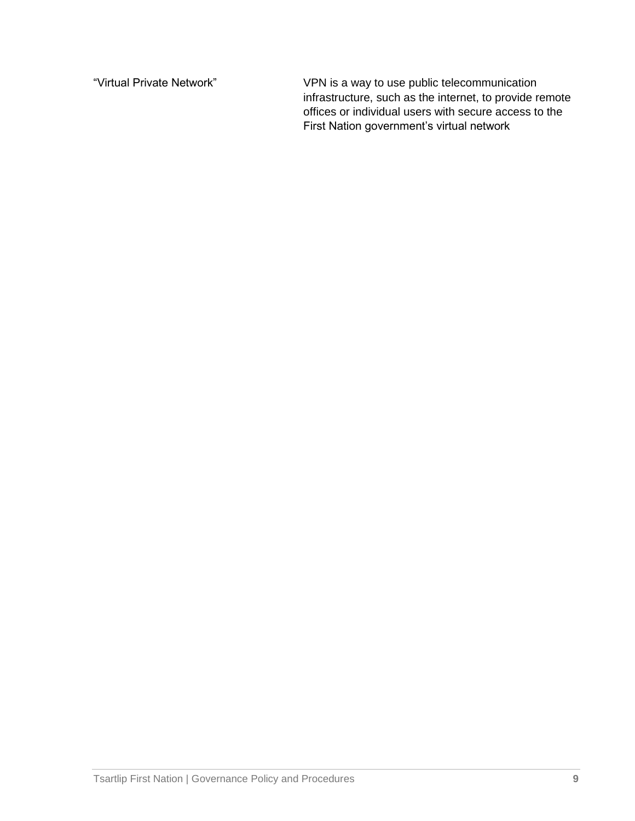"Virtual Private Network" VPN is a way to use public telecommunication infrastructure, such as the internet, to provide remote offices or individual users with secure access to the First Nation government's virtual network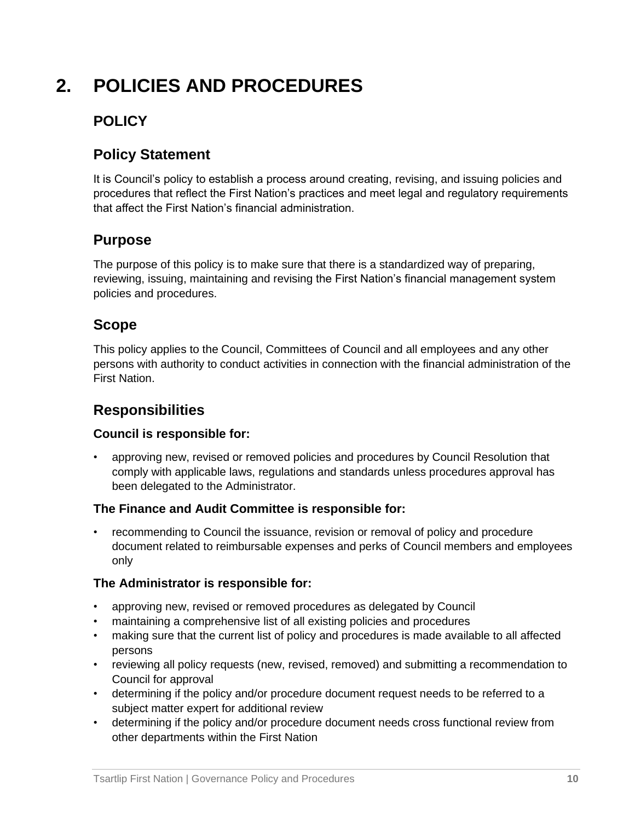## **2. POLICIES AND PROCEDURES**

## **POLICY**

## **Policy Statement**

It is Council's policy to establish a process around creating, revising, and issuing policies and procedures that reflect the First Nation's practices and meet legal and regulatory requirements that affect the First Nation's financial administration.

## **Purpose**

The purpose of this policy is to make sure that there is a standardized way of preparing, reviewing, issuing, maintaining and revising the First Nation's financial management system policies and procedures.

## **Scope**

This policy applies to the Council, Committees of Council and all employees and any other persons with authority to conduct activities in connection with the financial administration of the First Nation.

## **Responsibilities**

#### **Council is responsible for:**

• approving new, revised or removed policies and procedures by Council Resolution that comply with applicable laws, regulations and standards unless procedures approval has been delegated to the Administrator.

#### **The Finance and Audit Committee is responsible for:**

• recommending to Council the issuance, revision or removal of policy and procedure document related to reimbursable expenses and perks of Council members and employees only

#### **The Administrator is responsible for:**

- approving new, revised or removed procedures as delegated by Council
- maintaining a comprehensive list of all existing policies and procedures
- making sure that the current list of policy and procedures is made available to all affected persons
- reviewing all policy requests (new, revised, removed) and submitting a recommendation to Council for approval
- determining if the policy and/or procedure document request needs to be referred to a subject matter expert for additional review
- determining if the policy and/or procedure document needs cross functional review from other departments within the First Nation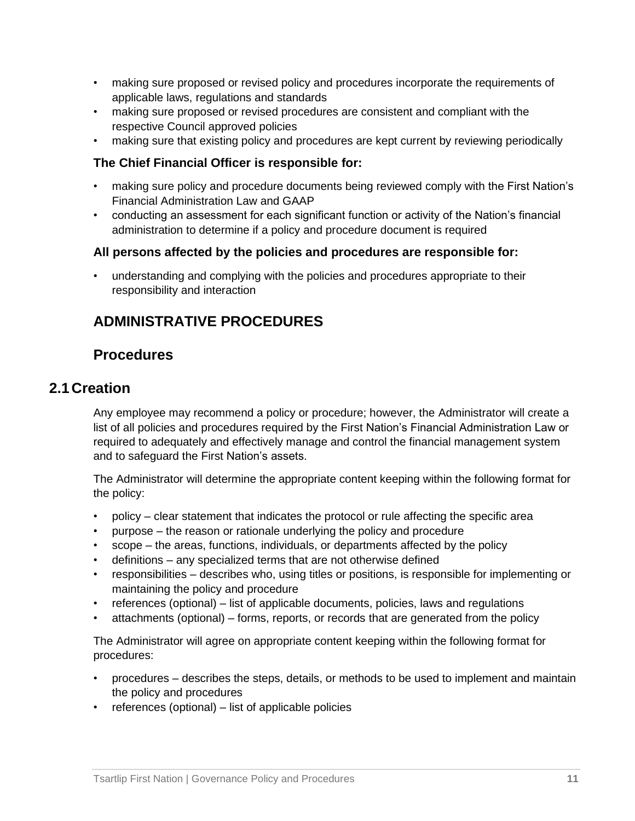- making sure proposed or revised policy and procedures incorporate the requirements of applicable laws, regulations and standards
- making sure proposed or revised procedures are consistent and compliant with the respective Council approved policies
- making sure that existing policy and procedures are kept current by reviewing periodically

#### **The Chief Financial Officer is responsible for:**

- making sure policy and procedure documents being reviewed comply with the First Nation's Financial Administration Law and GAAP
- conducting an assessment for each significant function or activity of the Nation's financial administration to determine if a policy and procedure document is required

#### **All persons affected by the policies and procedures are responsible for:**

• understanding and complying with the policies and procedures appropriate to their responsibility and interaction

## **ADMINISTRATIVE PROCEDURES**

#### **Procedures**

#### **2.1 Creation**

Any employee may recommend a policy or procedure; however, the Administrator will create a list of all policies and procedures required by the First Nation's Financial Administration Law or required to adequately and effectively manage and control the financial management system and to safeguard the First Nation's assets.

The Administrator will determine the appropriate content keeping within the following format for the policy:

- policy clear statement that indicates the protocol or rule affecting the specific area
- purpose the reason or rationale underlying the policy and procedure
- scope the areas, functions, individuals, or departments affected by the policy
- definitions any specialized terms that are not otherwise defined
- responsibilities describes who, using titles or positions, is responsible for implementing or maintaining the policy and procedure
- references (optional) list of applicable documents, policies, laws and regulations
- attachments (optional) forms, reports, or records that are generated from the policy

The Administrator will agree on appropriate content keeping within the following format for procedures:

- procedures describes the steps, details, or methods to be used to implement and maintain the policy and procedures
- references (optional) list of applicable policies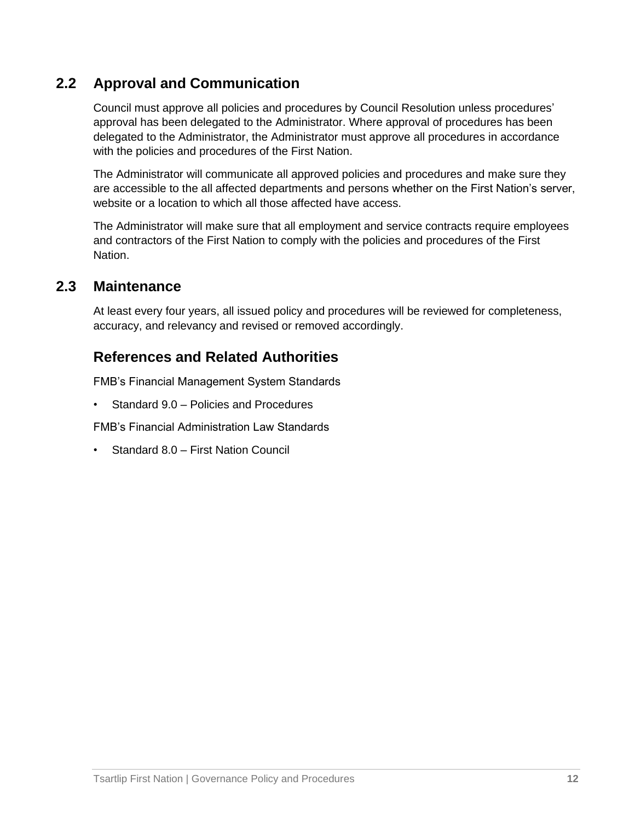## **2.2 Approval and Communication**

Council must approve all policies and procedures by Council Resolution unless procedures' approval has been delegated to the Administrator. Where approval of procedures has been delegated to the Administrator, the Administrator must approve all procedures in accordance with the policies and procedures of the First Nation.

The Administrator will communicate all approved policies and procedures and make sure they are accessible to the all affected departments and persons whether on the First Nation's server, website or a location to which all those affected have access.

The Administrator will make sure that all employment and service contracts require employees and contractors of the First Nation to comply with the policies and procedures of the First Nation.

#### **2.3 Maintenance**

At least every four years, all issued policy and procedures will be reviewed for completeness, accuracy, and relevancy and revised or removed accordingly.

## **References and Related Authorities**

FMB's Financial Management System Standards

• Standard 9.0 – Policies and Procedures

FMB's Financial Administration Law Standards

• Standard 8.0 – First Nation Council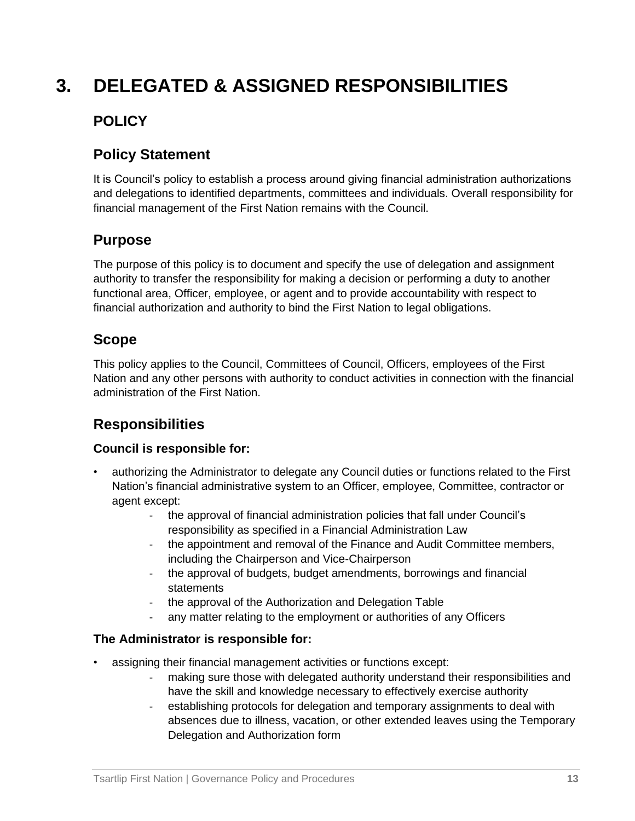## **3. DELEGATED & ASSIGNED RESPONSIBILITIES**

## **POLICY**

## **Policy Statement**

It is Council's policy to establish a process around giving financial administration authorizations and delegations to identified departments, committees and individuals. Overall responsibility for financial management of the First Nation remains with the Council.

## **Purpose**

The purpose of this policy is to document and specify the use of delegation and assignment authority to transfer the responsibility for making a decision or performing a duty to another functional area, Officer, employee, or agent and to provide accountability with respect to financial authorization and authority to bind the First Nation to legal obligations.

## **Scope**

This policy applies to the Council, Committees of Council, Officers, employees of the First Nation and any other persons with authority to conduct activities in connection with the financial administration of the First Nation.

## **Responsibilities**

#### **Council is responsible for:**

- authorizing the Administrator to delegate any Council duties or functions related to the First Nation's financial administrative system to an Officer, employee, Committee, contractor or agent except:
	- the approval of financial administration policies that fall under Council's responsibility as specified in a Financial Administration Law
	- the appointment and removal of the Finance and Audit Committee members, including the Chairperson and Vice-Chairperson
	- the approval of budgets, budget amendments, borrowings and financial statements
	- the approval of the Authorization and Delegation Table
	- any matter relating to the employment or authorities of any Officers

#### **The Administrator is responsible for:**

- assigning their financial management activities or functions except:
	- making sure those with delegated authority understand their responsibilities and have the skill and knowledge necessary to effectively exercise authority
	- establishing protocols for delegation and temporary assignments to deal with absences due to illness, vacation, or other extended leaves using the Temporary Delegation and Authorization form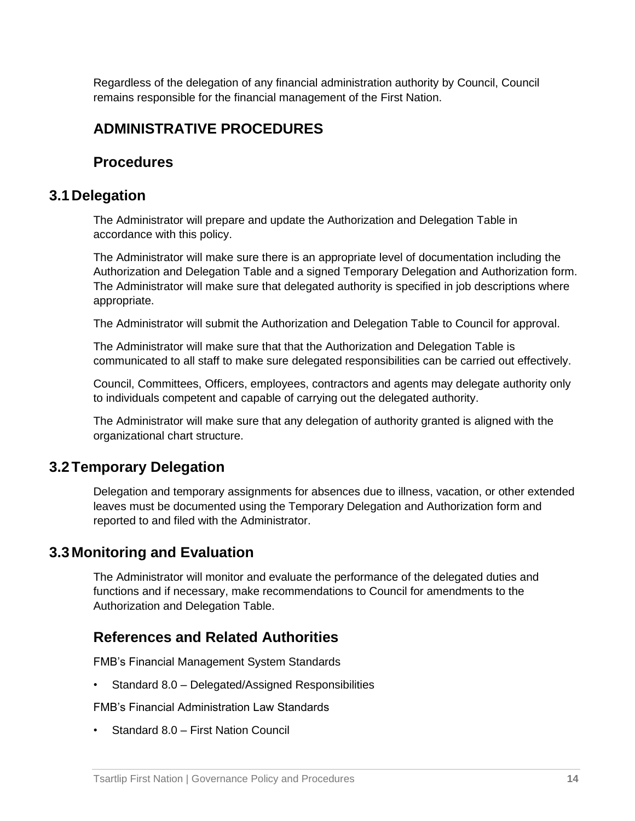Regardless of the delegation of any financial administration authority by Council, Council remains responsible for the financial management of the First Nation.

#### **ADMINISTRATIVE PROCEDURES**

#### **Procedures**

#### **3.1 Delegation**

The Administrator will prepare and update the Authorization and Delegation Table in accordance with this policy.

The Administrator will make sure there is an appropriate level of documentation including the Authorization and Delegation Table and a signed Temporary Delegation and Authorization form. The Administrator will make sure that delegated authority is specified in job descriptions where appropriate.

The Administrator will submit the Authorization and Delegation Table to Council for approval.

The Administrator will make sure that that the Authorization and Delegation Table is communicated to all staff to make sure delegated responsibilities can be carried out effectively.

Council, Committees, Officers, employees, contractors and agents may delegate authority only to individuals competent and capable of carrying out the delegated authority.

The Administrator will make sure that any delegation of authority granted is aligned with the organizational chart structure.

#### **3.2Temporary Delegation**

Delegation and temporary assignments for absences due to illness, vacation, or other extended leaves must be documented using the Temporary Delegation and Authorization form and reported to and filed with the Administrator.

#### **3.3 Monitoring and Evaluation**

The Administrator will monitor and evaluate the performance of the delegated duties and functions and if necessary, make recommendations to Council for amendments to the Authorization and Delegation Table.

#### **References and Related Authorities**

FMB's Financial Management System Standards

• Standard 8.0 – Delegated/Assigned Responsibilities

FMB's Financial Administration Law Standards

• Standard 8.0 – First Nation Council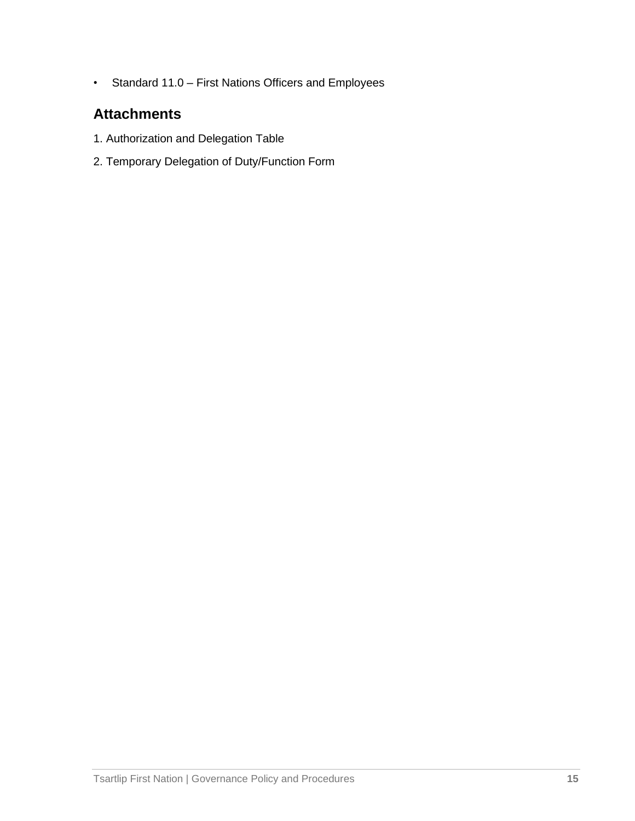• Standard 11.0 – First Nations Officers and Employees

## **Attachments**

- 1. Authorization and Delegation Table
- 2. Temporary Delegation of Duty/Function Form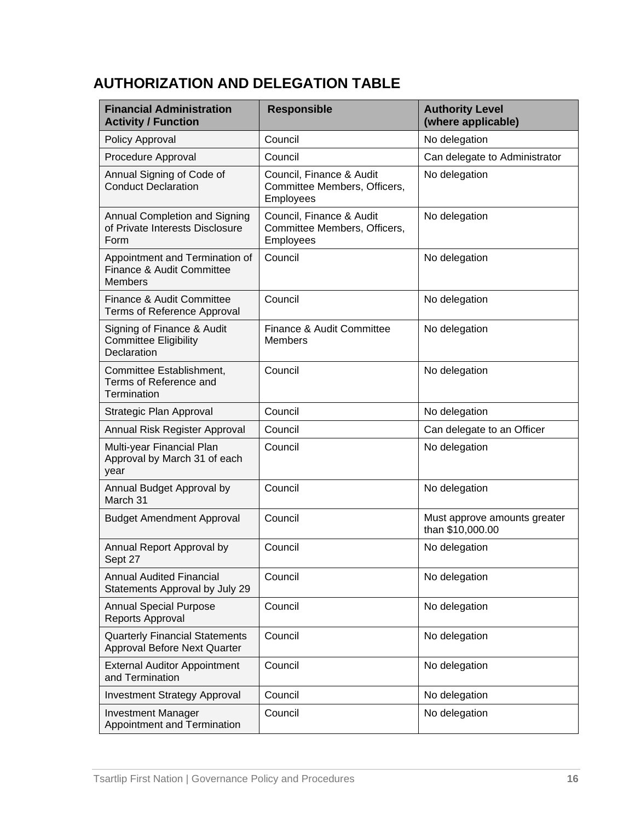## **AUTHORIZATION AND DELEGATION TABLE**

| <b>Financial Administration</b><br><b>Activity / Function</b>                 | <b>Responsible</b>                                                    | <b>Authority Level</b><br>(where applicable)     |
|-------------------------------------------------------------------------------|-----------------------------------------------------------------------|--------------------------------------------------|
| Policy Approval                                                               | Council                                                               | No delegation                                    |
| Procedure Approval                                                            | Council                                                               | Can delegate to Administrator                    |
| Annual Signing of Code of<br><b>Conduct Declaration</b>                       | Council, Finance & Audit<br>Committee Members, Officers,<br>Employees | No delegation                                    |
| Annual Completion and Signing<br>of Private Interests Disclosure<br>Form      | Council, Finance & Audit<br>Committee Members, Officers,<br>Employees | No delegation                                    |
| Appointment and Termination of<br>Finance & Audit Committee<br><b>Members</b> | Council                                                               | No delegation                                    |
| Finance & Audit Committee<br>Terms of Reference Approval                      | Council                                                               | No delegation                                    |
| Signing of Finance & Audit<br><b>Committee Eligibility</b><br>Declaration     | Finance & Audit Committee<br><b>Members</b>                           | No delegation                                    |
| Committee Establishment,<br>Terms of Reference and<br>Termination             | Council                                                               | No delegation                                    |
| Strategic Plan Approval                                                       | Council                                                               | No delegation                                    |
| Annual Risk Register Approval                                                 | Council                                                               | Can delegate to an Officer                       |
| Multi-year Financial Plan<br>Approval by March 31 of each<br>year             | Council                                                               | No delegation                                    |
| Annual Budget Approval by<br>March 31                                         | Council                                                               | No delegation                                    |
| <b>Budget Amendment Approval</b>                                              | Council                                                               | Must approve amounts greater<br>than \$10,000.00 |
| Annual Report Approval by<br>Sept 27                                          | Council                                                               | No delegation                                    |
| <b>Annual Audited Financial</b><br>Statements Approval by July 29             | Council                                                               | No delegation                                    |
| <b>Annual Special Purpose</b><br>Reports Approval                             | Council                                                               | No delegation                                    |
| <b>Quarterly Financial Statements</b><br>Approval Before Next Quarter         | Council                                                               | No delegation                                    |
| <b>External Auditor Appointment</b><br>and Termination                        | Council                                                               | No delegation                                    |
| <b>Investment Strategy Approval</b>                                           | Council                                                               | No delegation                                    |
| <b>Investment Manager</b><br>Appointment and Termination                      | Council                                                               | No delegation                                    |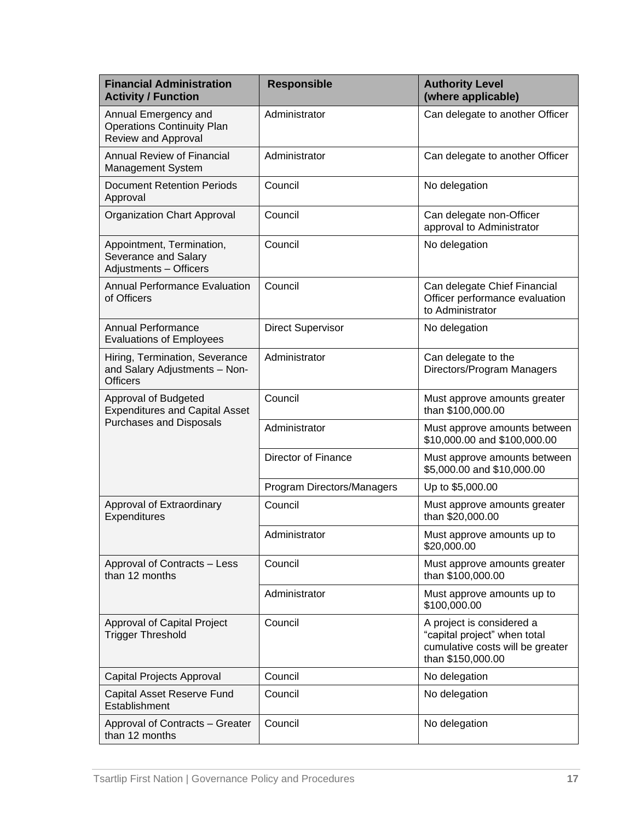| <b>Financial Administration</b><br><b>Activity / Function</b>                           | <b>Responsible</b>         | <b>Authority Level</b><br>(where applicable)                                                                       |
|-----------------------------------------------------------------------------------------|----------------------------|--------------------------------------------------------------------------------------------------------------------|
| Annual Emergency and<br><b>Operations Continuity Plan</b><br><b>Review and Approval</b> | Administrator              | Can delegate to another Officer                                                                                    |
| <b>Annual Review of Financial</b><br><b>Management System</b>                           | Administrator              | Can delegate to another Officer                                                                                    |
| <b>Document Retention Periods</b><br>Approval                                           | Council                    | No delegation                                                                                                      |
| Organization Chart Approval                                                             | Council                    | Can delegate non-Officer<br>approval to Administrator                                                              |
| Appointment, Termination,<br>Severance and Salary<br>Adjustments - Officers             | Council                    | No delegation                                                                                                      |
| <b>Annual Performance Evaluation</b><br>of Officers                                     | Council                    | Can delegate Chief Financial<br>Officer performance evaluation<br>to Administrator                                 |
| <b>Annual Performance</b><br><b>Evaluations of Employees</b>                            | <b>Direct Supervisor</b>   | No delegation                                                                                                      |
| Hiring, Termination, Severance<br>and Salary Adjustments - Non-<br><b>Officers</b>      | Administrator              | Can delegate to the<br>Directors/Program Managers                                                                  |
| Approval of Budgeted<br><b>Expenditures and Capital Asset</b>                           | Council                    | Must approve amounts greater<br>than \$100,000.00                                                                  |
| <b>Purchases and Disposals</b>                                                          | Administrator              | Must approve amounts between<br>\$10,000.00 and \$100,000.00                                                       |
|                                                                                         | Director of Finance        | Must approve amounts between<br>\$5,000.00 and \$10,000.00                                                         |
|                                                                                         | Program Directors/Managers | Up to \$5,000.00                                                                                                   |
| Approval of Extraordinary<br>Expenditures                                               | Council                    | Must approve amounts greater<br>than \$20,000.00                                                                   |
|                                                                                         | Administrator              | Must approve amounts up to<br>\$20,000.00                                                                          |
| Approval of Contracts - Less<br>than 12 months                                          | Council                    | Must approve amounts greater<br>than \$100,000.00                                                                  |
|                                                                                         | Administrator              | Must approve amounts up to<br>\$100,000.00                                                                         |
| Approval of Capital Project<br><b>Trigger Threshold</b>                                 | Council                    | A project is considered a<br>"capital project" when total<br>cumulative costs will be greater<br>than \$150,000.00 |
| Capital Projects Approval                                                               | Council                    | No delegation                                                                                                      |
| Capital Asset Reserve Fund<br>Establishment                                             | Council                    | No delegation                                                                                                      |
| Approval of Contracts - Greater<br>than 12 months                                       | Council                    | No delegation                                                                                                      |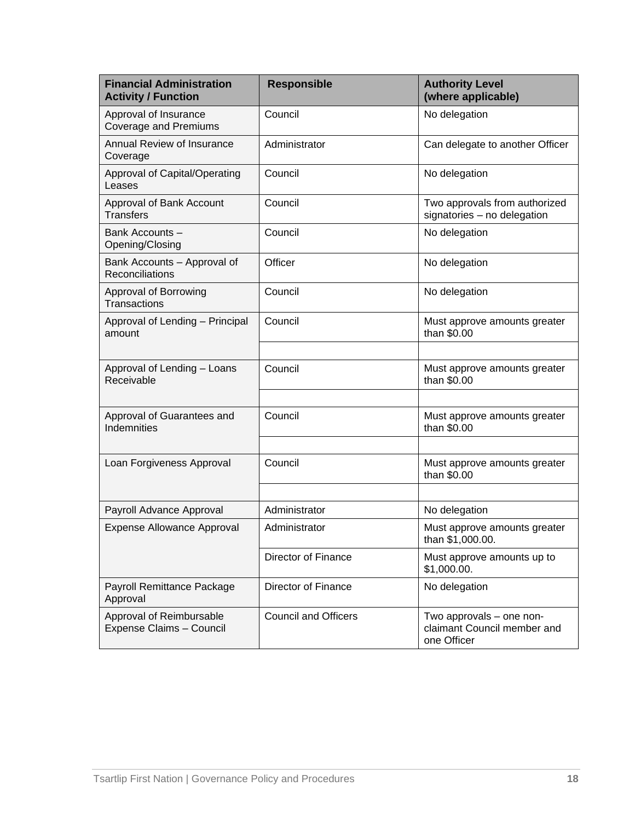| <b>Financial Administration</b><br><b>Activity / Function</b> | <b>Responsible</b>          | <b>Authority Level</b><br>(where applicable)                           |
|---------------------------------------------------------------|-----------------------------|------------------------------------------------------------------------|
| Approval of Insurance<br><b>Coverage and Premiums</b>         | Council                     | No delegation                                                          |
| Annual Review of Insurance<br>Coverage                        | Administrator               | Can delegate to another Officer                                        |
| Approval of Capital/Operating<br>Leases                       | Council                     | No delegation                                                          |
| Approval of Bank Account<br><b>Transfers</b>                  | Council                     | Two approvals from authorized<br>signatories - no delegation           |
| Bank Accounts -<br>Opening/Closing                            | Council                     | No delegation                                                          |
| Bank Accounts - Approval of<br>Reconciliations                | Officer                     | No delegation                                                          |
| Approval of Borrowing<br><b>Transactions</b>                  | Council                     | No delegation                                                          |
| Approval of Lending - Principal<br>amount                     | Council                     | Must approve amounts greater<br>than \$0.00                            |
|                                                               |                             |                                                                        |
| Approval of Lending - Loans<br>Receivable                     | Council                     | Must approve amounts greater<br>than \$0.00                            |
|                                                               |                             |                                                                        |
| Approval of Guarantees and<br>Indemnities                     | Council                     | Must approve amounts greater<br>than \$0.00                            |
|                                                               |                             |                                                                        |
| Loan Forgiveness Approval                                     | Council                     | Must approve amounts greater<br>than \$0.00                            |
|                                                               |                             |                                                                        |
| Payroll Advance Approval                                      | Administrator               | No delegation                                                          |
| <b>Expense Allowance Approval</b>                             | Administrator               | Must approve amounts greater<br>than \$1,000.00.                       |
|                                                               | <b>Director of Finance</b>  | Must approve amounts up to<br>\$1,000.00.                              |
| Payroll Remittance Package<br>Approval                        | Director of Finance         | No delegation                                                          |
| Approval of Reimbursable<br>Expense Claims - Council          | <b>Council and Officers</b> | Two approvals - one non-<br>claimant Council member and<br>one Officer |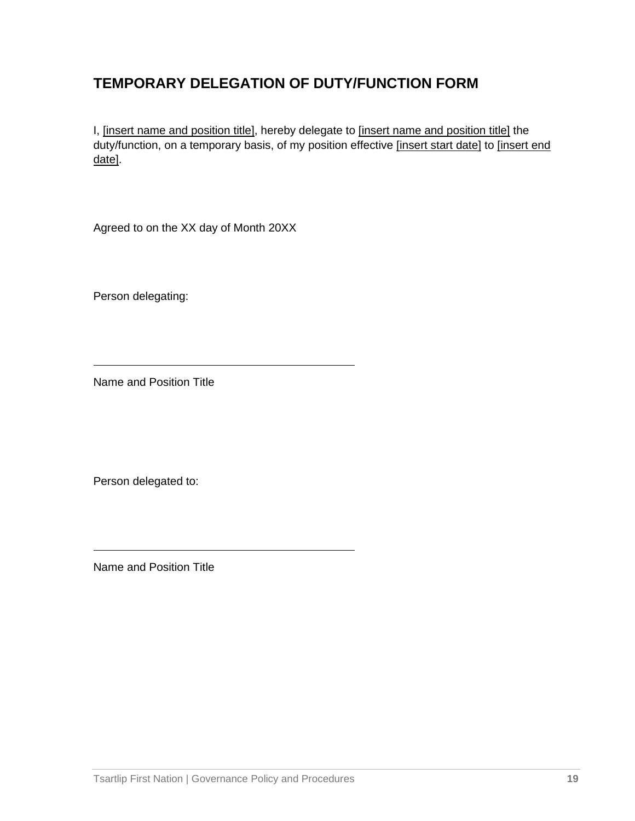## **TEMPORARY DELEGATION OF DUTY/FUNCTION FORM**

I, *[insert name and position title]*, hereby delegate to *[insert name and position title]* the duty/function, on a temporary basis, of my position effective [insert start date] to [insert end date].

Agreed to on the XX day of Month 20XX

Person delegating:

Name and Position Title

Person delegated to:

Name and Position Title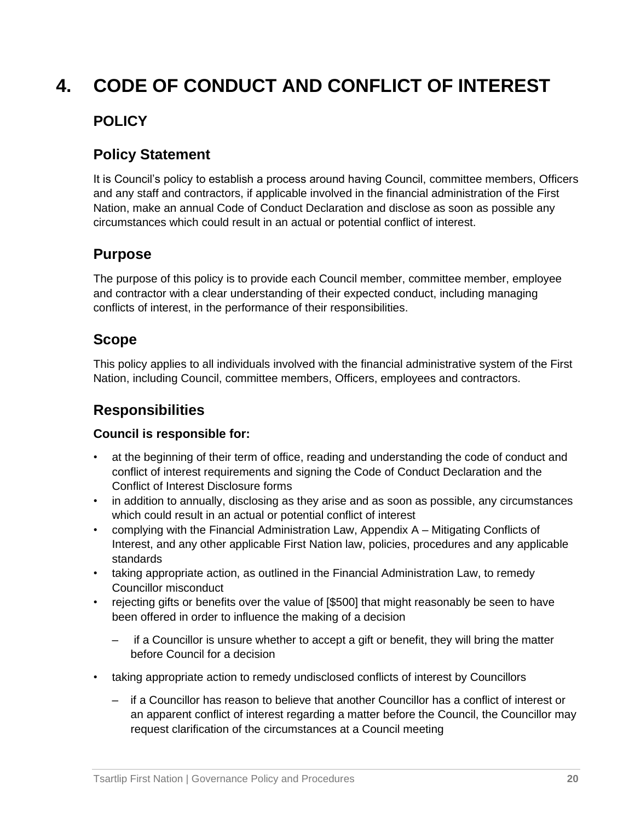## **4. CODE OF CONDUCT AND CONFLICT OF INTEREST**

## **POLICY**

## **Policy Statement**

It is Council's policy to establish a process around having Council, committee members, Officers and any staff and contractors, if applicable involved in the financial administration of the First Nation, make an annual Code of Conduct Declaration and disclose as soon as possible any circumstances which could result in an actual or potential conflict of interest.

## **Purpose**

The purpose of this policy is to provide each Council member, committee member, employee and contractor with a clear understanding of their expected conduct, including managing conflicts of interest, in the performance of their responsibilities.

## **Scope**

This policy applies to all individuals involved with the financial administrative system of the First Nation, including Council, committee members, Officers, employees and contractors.

## **Responsibilities**

#### **Council is responsible for:**

- at the beginning of their term of office, reading and understanding the code of conduct and conflict of interest requirements and signing the Code of Conduct Declaration and the Conflict of Interest Disclosure forms
- in addition to annually, disclosing as they arise and as soon as possible, any circumstances which could result in an actual or potential conflict of interest
- complying with the Financial Administration Law, Appendix A Mitigating Conflicts of Interest, and any other applicable First Nation law, policies, procedures and any applicable standards
- taking appropriate action, as outlined in the Financial Administration Law, to remedy Councillor misconduct
- rejecting gifts or benefits over the value of [\$500] that might reasonably be seen to have been offered in order to influence the making of a decision
	- if a Councillor is unsure whether to accept a gift or benefit, they will bring the matter before Council for a decision
- taking appropriate action to remedy undisclosed conflicts of interest by Councillors
	- if a Councillor has reason to believe that another Councillor has a conflict of interest or an apparent conflict of interest regarding a matter before the Council, the Councillor may request clarification of the circumstances at a Council meeting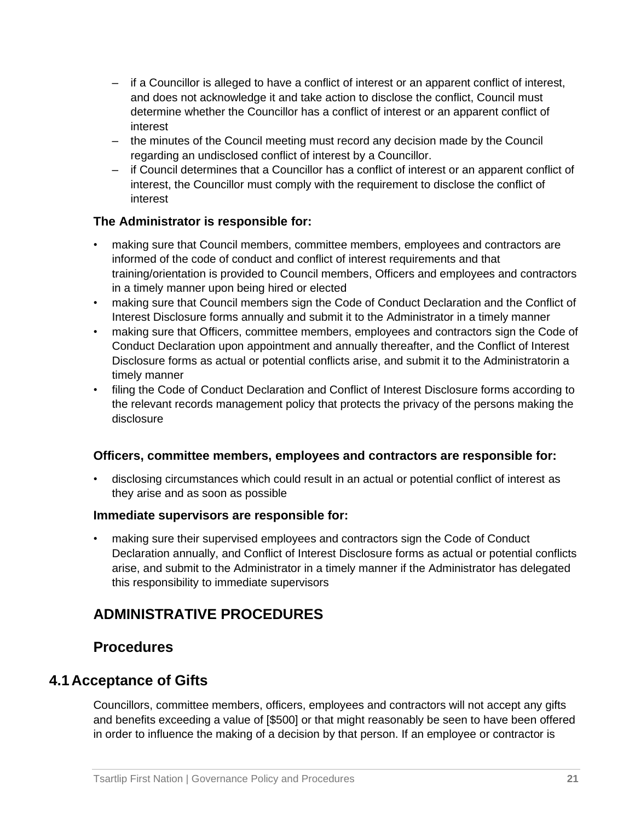- if a Councillor is alleged to have a conflict of interest or an apparent conflict of interest, and does not acknowledge it and take action to disclose the conflict, Council must determine whether the Councillor has a conflict of interest or an apparent conflict of interest
- the minutes of the Council meeting must record any decision made by the Council regarding an undisclosed conflict of interest by a Councillor.
- if Council determines that a Councillor has a conflict of interest or an apparent conflict of interest, the Councillor must comply with the requirement to disclose the conflict of interest

#### **The Administrator is responsible for:**

- making sure that Council members, committee members, employees and contractors are informed of the code of conduct and conflict of interest requirements and that training/orientation is provided to Council members, Officers and employees and contractors in a timely manner upon being hired or elected
- making sure that Council members sign the Code of Conduct Declaration and the Conflict of Interest Disclosure forms annually and submit it to the Administrator in a timely manner
- making sure that Officers, committee members, employees and contractors sign the Code of Conduct Declaration upon appointment and annually thereafter, and the Conflict of Interest Disclosure forms as actual or potential conflicts arise, and submit it to the Administratorin a timely manner
- filing the Code of Conduct Declaration and Conflict of Interest Disclosure forms according to the relevant records management policy that protects the privacy of the persons making the disclosure

#### **Officers, committee members, employees and contractors are responsible for:**

• disclosing circumstances which could result in an actual or potential conflict of interest as they arise and as soon as possible

#### **Immediate supervisors are responsible for:**

• making sure their supervised employees and contractors sign the Code of Conduct Declaration annually, and Conflict of Interest Disclosure forms as actual or potential conflicts arise, and submit to the Administrator in a timely manner if the Administrator has delegated this responsibility to immediate supervisors

## **ADMINISTRATIVE PROCEDURES**

#### **Procedures**

#### **4.1 Acceptance of Gifts**

Councillors, committee members, officers, employees and contractors will not accept any gifts and benefits exceeding a value of [\$500] or that might reasonably be seen to have been offered in order to influence the making of a decision by that person. If an employee or contractor is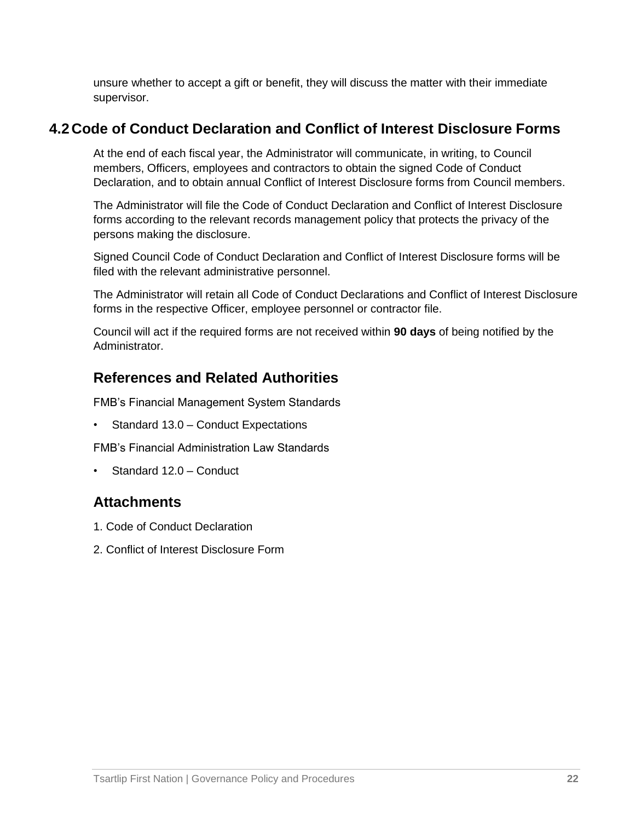unsure whether to accept a gift or benefit, they will discuss the matter with their immediate supervisor.

#### **4.2 Code of Conduct Declaration and Conflict of Interest Disclosure Forms**

At the end of each fiscal year, the Administrator will communicate, in writing, to Council members, Officers, employees and contractors to obtain the signed Code of Conduct Declaration, and to obtain annual Conflict of Interest Disclosure forms from Council members.

The Administrator will file the Code of Conduct Declaration and Conflict of Interest Disclosure forms according to the relevant records management policy that protects the privacy of the persons making the disclosure.

Signed Council Code of Conduct Declaration and Conflict of Interest Disclosure forms will be filed with the relevant administrative personnel.

The Administrator will retain all Code of Conduct Declarations and Conflict of Interest Disclosure forms in the respective Officer, employee personnel or contractor file.

Council will act if the required forms are not received within **90 days** of being notified by the **Administrator** 

## **References and Related Authorities**

FMB's Financial Management System Standards

• Standard 13.0 – Conduct Expectations

FMB's Financial Administration Law Standards

• Standard 12.0 – Conduct

## **Attachments**

- 1. Code of Conduct Declaration
- 2. Conflict of Interest Disclosure Form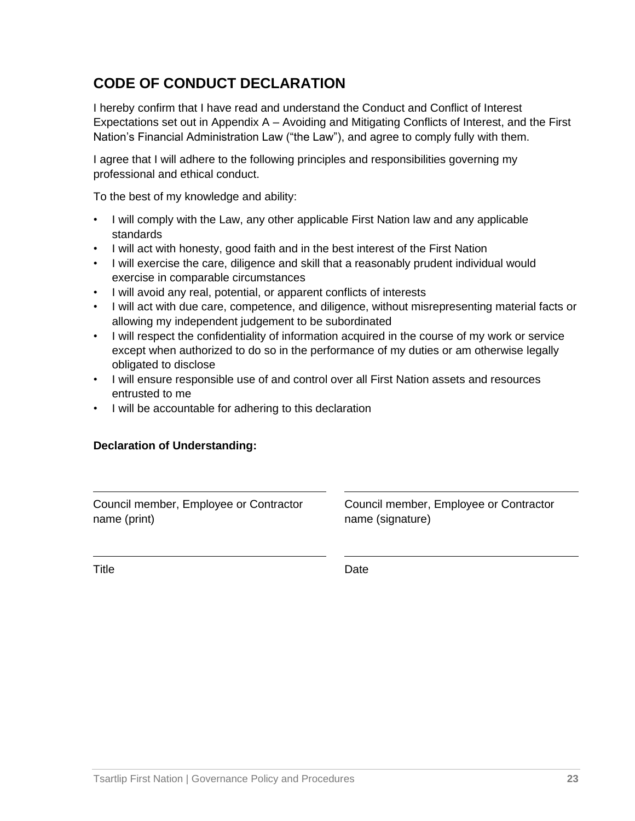## **CODE OF CONDUCT DECLARATION**

I hereby confirm that I have read and understand the Conduct and Conflict of Interest Expectations set out in Appendix A – Avoiding and Mitigating Conflicts of Interest, and the First Nation's Financial Administration Law ("the Law"), and agree to comply fully with them.

I agree that I will adhere to the following principles and responsibilities governing my professional and ethical conduct.

To the best of my knowledge and ability:

- I will comply with the Law, any other applicable First Nation law and any applicable standards
- I will act with honesty, good faith and in the best interest of the First Nation
- I will exercise the care, diligence and skill that a reasonably prudent individual would exercise in comparable circumstances
- I will avoid any real, potential, or apparent conflicts of interests
- I will act with due care, competence, and diligence, without misrepresenting material facts or allowing my independent judgement to be subordinated
- I will respect the confidentiality of information acquired in the course of my work or service except when authorized to do so in the performance of my duties or am otherwise legally obligated to disclose
- I will ensure responsible use of and control over all First Nation assets and resources entrusted to me
- I will be accountable for adhering to this declaration

#### **Declaration of Understanding:**

Council member, Employee or Contractor name (print)

Council member, Employee or Contractor name (signature)

Title **Date**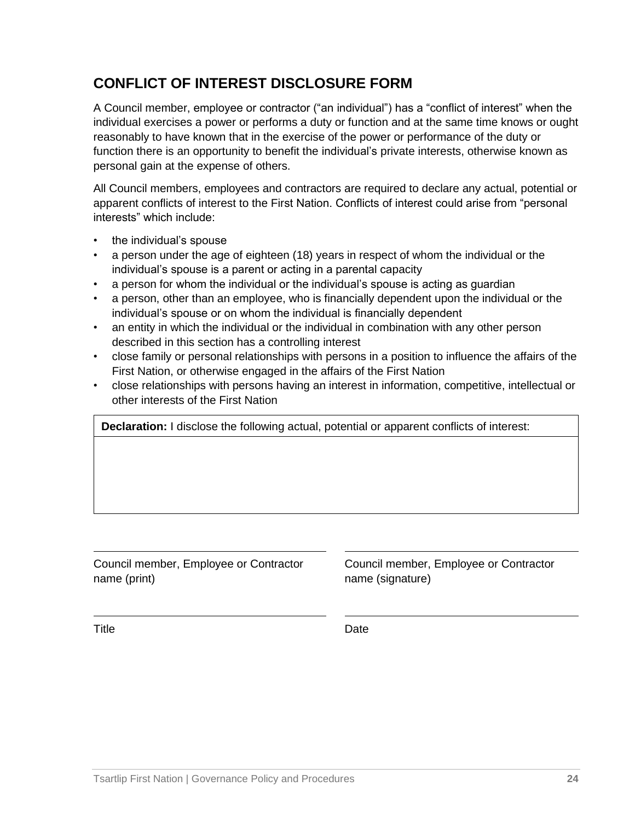## **CONFLICT OF INTEREST DISCLOSURE FORM**

A Council member, employee or contractor ("an individual") has a "conflict of interest" when the individual exercises a power or performs a duty or function and at the same time knows or ought reasonably to have known that in the exercise of the power or performance of the duty or function there is an opportunity to benefit the individual's private interests, otherwise known as personal gain at the expense of others.

All Council members, employees and contractors are required to declare any actual, potential or apparent conflicts of interest to the First Nation. Conflicts of interest could arise from "personal interests" which include:

- the individual's spouse
- a person under the age of eighteen (18) years in respect of whom the individual or the individual's spouse is a parent or acting in a parental capacity
- a person for whom the individual or the individual's spouse is acting as guardian
- a person, other than an employee, who is financially dependent upon the individual or the individual's spouse or on whom the individual is financially dependent
- an entity in which the individual or the individual in combination with any other person described in this section has a controlling interest
- close family or personal relationships with persons in a position to influence the affairs of the First Nation, or otherwise engaged in the affairs of the First Nation
- close relationships with persons having an interest in information, competitive, intellectual or other interests of the First Nation

**Declaration:** I disclose the following actual, potential or apparent conflicts of interest:

Council member, Employee or Contractor name (print)

Council member, Employee or Contractor name (signature)

Title **Date**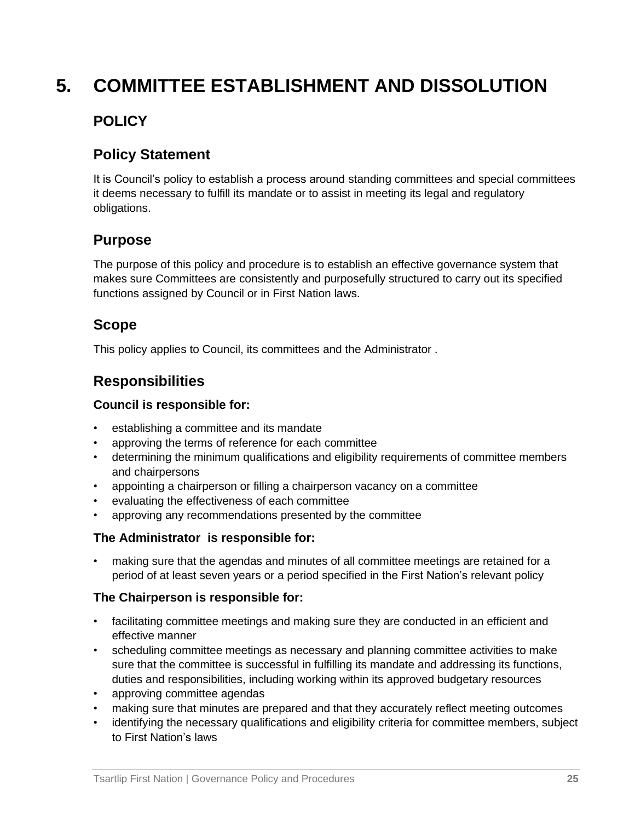## **5. COMMITTEE ESTABLISHMENT AND DISSOLUTION**

## **POLICY**

## **Policy Statement**

It is Council's policy to establish a process around standing committees and special committees it deems necessary to fulfill its mandate or to assist in meeting its legal and regulatory obligations.

## **Purpose**

The purpose of this policy and procedure is to establish an effective governance system that makes sure Committees are consistently and purposefully structured to carry out its specified functions assigned by Council or in First Nation laws.

## **Scope**

This policy applies to Council, its committees and the Administrator .

## **Responsibilities**

#### **Council is responsible for:**

- establishing a committee and its mandate
- approving the terms of reference for each committee
- determining the minimum qualifications and eligibility requirements of committee members and chairpersons
- appointing a chairperson or filling a chairperson vacancy on a committee
- evaluating the effectiveness of each committee
- approving any recommendations presented by the committee

#### **The Administrator is responsible for:**

• making sure that the agendas and minutes of all committee meetings are retained for a period of at least seven years or a period specified in the First Nation's relevant policy

#### **The Chairperson is responsible for:**

- facilitating committee meetings and making sure they are conducted in an efficient and effective manner
- scheduling committee meetings as necessary and planning committee activities to make sure that the committee is successful in fulfilling its mandate and addressing its functions, duties and responsibilities, including working within its approved budgetary resources
- approving committee agendas
- making sure that minutes are prepared and that they accurately reflect meeting outcomes
- identifying the necessary qualifications and eligibility criteria for committee members, subject to First Nation's laws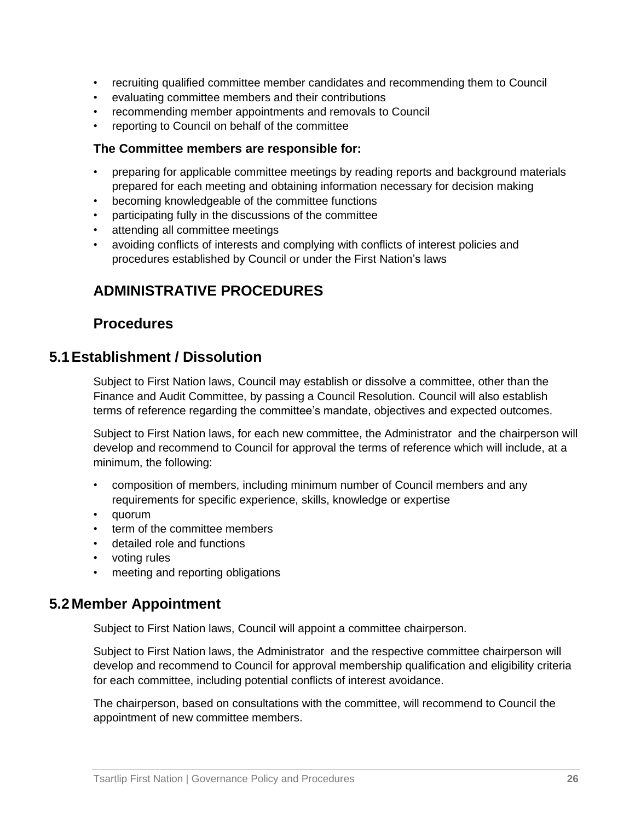- recruiting qualified committee member candidates and recommending them to Council
- evaluating committee members and their contributions
- recommending member appointments and removals to Council
- reporting to Council on behalf of the committee

#### **The Committee members are responsible for:**

- preparing for applicable committee meetings by reading reports and background materials prepared for each meeting and obtaining information necessary for decision making
- becoming knowledgeable of the committee functions
- participating fully in the discussions of the committee
- attending all committee meetings
- avoiding conflicts of interests and complying with conflicts of interest policies and procedures established by Council or under the First Nation's laws

## **ADMINISTRATIVE PROCEDURES**

#### **Procedures**

#### **5.1Establishment / Dissolution**

Subject to First Nation laws, Council may establish or dissolve a committee, other than the Finance and Audit Committee, by passing a Council Resolution. Council will also establish terms of reference regarding the committee's mandate, objectives and expected outcomes.

Subject to First Nation laws, for each new committee, the Administrator and the chairperson will develop and recommend to Council for approval the terms of reference which will include, at a minimum, the following:

- composition of members, including minimum number of Council members and any requirements for specific experience, skills, knowledge or expertise
- quorum
- term of the committee members
- detailed role and functions
- voting rules
- meeting and reporting obligations

#### **5.2 Member Appointment**

Subject to First Nation laws, Council will appoint a committee chairperson.

Subject to First Nation laws, the Administrator and the respective committee chairperson will develop and recommend to Council for approval membership qualification and eligibility criteria for each committee, including potential conflicts of interest avoidance.

The chairperson, based on consultations with the committee, will recommend to Council the appointment of new committee members.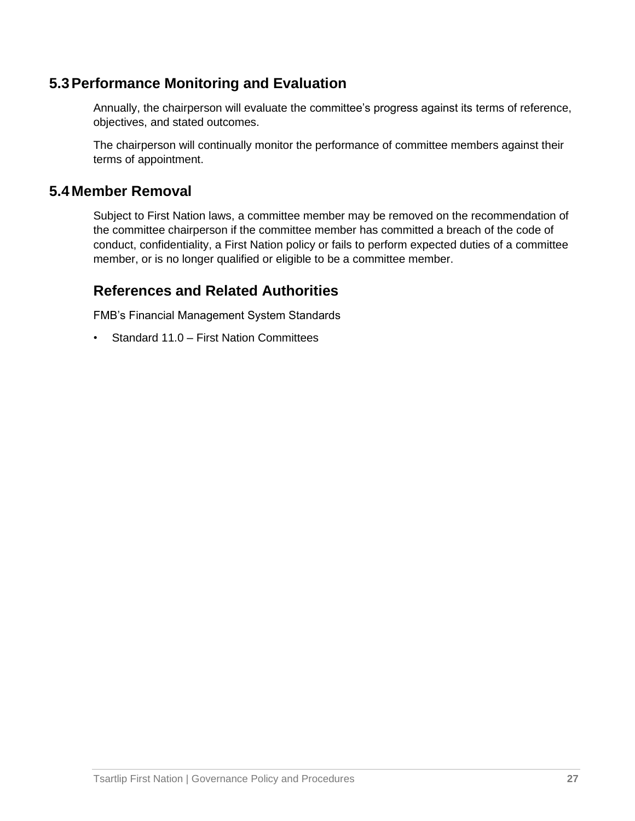## **5.3Performance Monitoring and Evaluation**

Annually, the chairperson will evaluate the committee's progress against its terms of reference, objectives, and stated outcomes.

The chairperson will continually monitor the performance of committee members against their terms of appointment.

#### **5.4 Member Removal**

Subject to First Nation laws, a committee member may be removed on the recommendation of the committee chairperson if the committee member has committed a breach of the code of conduct, confidentiality, a First Nation policy or fails to perform expected duties of a committee member, or is no longer qualified or eligible to be a committee member.

#### **References and Related Authorities**

FMB's Financial Management System Standards

• Standard 11.0 – First Nation Committees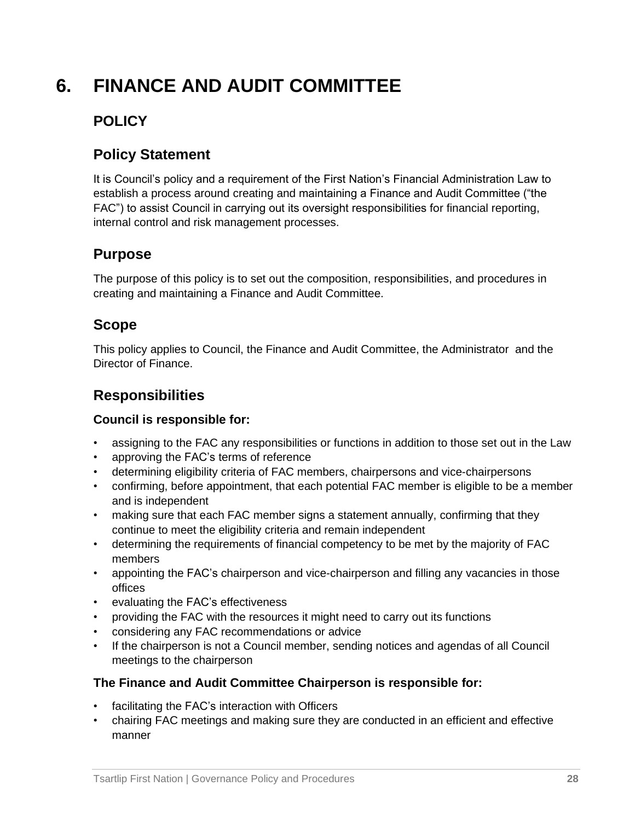## **6. FINANCE AND AUDIT COMMITTEE**

## **POLICY**

## **Policy Statement**

It is Council's policy and a requirement of the First Nation's Financial Administration Law to establish a process around creating and maintaining a Finance and Audit Committee ("the FAC") to assist Council in carrying out its oversight responsibilities for financial reporting, internal control and risk management processes.

## **Purpose**

The purpose of this policy is to set out the composition, responsibilities, and procedures in creating and maintaining a Finance and Audit Committee.

## **Scope**

This policy applies to Council, the Finance and Audit Committee, the Administrator and the Director of Finance.

## **Responsibilities**

#### **Council is responsible for:**

- assigning to the FAC any responsibilities or functions in addition to those set out in the Law
- approving the FAC's terms of reference
- determining eligibility criteria of FAC members, chairpersons and vice-chairpersons
- confirming, before appointment, that each potential FAC member is eligible to be a member and is independent
- making sure that each FAC member signs a statement annually, confirming that they continue to meet the eligibility criteria and remain independent
- determining the requirements of financial competency to be met by the majority of FAC members
- appointing the FAC's chairperson and vice-chairperson and filling any vacancies in those offices
- evaluating the FAC's effectiveness
- providing the FAC with the resources it might need to carry out its functions
- considering any FAC recommendations or advice
- If the chairperson is not a Council member, sending notices and agendas of all Council meetings to the chairperson

#### **The Finance and Audit Committee Chairperson is responsible for:**

- facilitating the FAC's interaction with Officers
- chairing FAC meetings and making sure they are conducted in an efficient and effective manner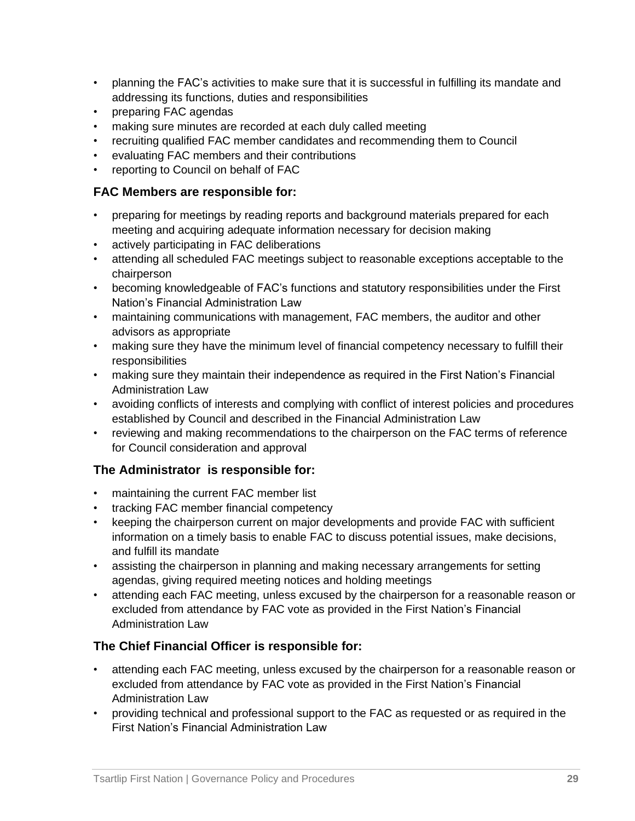- planning the FAC's activities to make sure that it is successful in fulfilling its mandate and addressing its functions, duties and responsibilities
- preparing FAC agendas
- making sure minutes are recorded at each duly called meeting
- recruiting qualified FAC member candidates and recommending them to Council
- evaluating FAC members and their contributions
- reporting to Council on behalf of FAC

#### **FAC Members are responsible for:**

- preparing for meetings by reading reports and background materials prepared for each meeting and acquiring adequate information necessary for decision making
- actively participating in FAC deliberations
- attending all scheduled FAC meetings subject to reasonable exceptions acceptable to the chairperson
- becoming knowledgeable of FAC's functions and statutory responsibilities under the First Nation's Financial Administration Law
- maintaining communications with management, FAC members, the auditor and other advisors as appropriate
- making sure they have the minimum level of financial competency necessary to fulfill their responsibilities
- making sure they maintain their independence as required in the First Nation's Financial Administration Law
- avoiding conflicts of interests and complying with conflict of interest policies and procedures established by Council and described in the Financial Administration Law
- reviewing and making recommendations to the chairperson on the FAC terms of reference for Council consideration and approval

#### **The Administrator is responsible for:**

- maintaining the current FAC member list
- tracking FAC member financial competency
- keeping the chairperson current on major developments and provide FAC with sufficient information on a timely basis to enable FAC to discuss potential issues, make decisions, and fulfill its mandate
- assisting the chairperson in planning and making necessary arrangements for setting agendas, giving required meeting notices and holding meetings
- attending each FAC meeting, unless excused by the chairperson for a reasonable reason or excluded from attendance by FAC vote as provided in the First Nation's Financial Administration Law

#### **The Chief Financial Officer is responsible for:**

- attending each FAC meeting, unless excused by the chairperson for a reasonable reason or excluded from attendance by FAC vote as provided in the First Nation's Financial Administration Law
- providing technical and professional support to the FAC as requested or as required in the First Nation's Financial Administration Law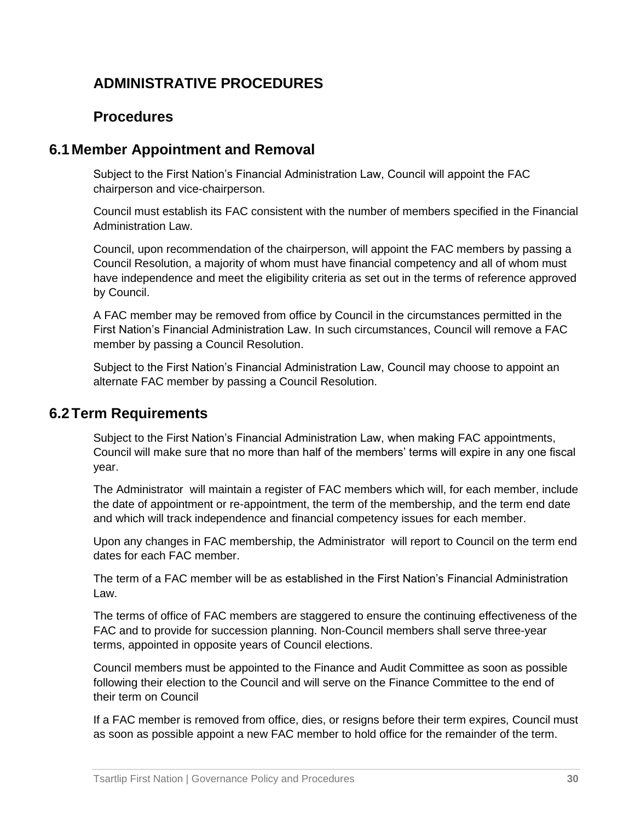## **ADMINISTRATIVE PROCEDURES**

## **Procedures**

## **6.1 Member Appointment and Removal**

Subject to the First Nation's Financial Administration Law, Council will appoint the FAC chairperson and vice-chairperson.

Council must establish its FAC consistent with the number of members specified in the Financial Administration Law.

Council, upon recommendation of the chairperson, will appoint the FAC members by passing a Council Resolution, a majority of whom must have financial competency and all of whom must have independence and meet the eligibility criteria as set out in the terms of reference approved by Council.

A FAC member may be removed from office by Council in the circumstances permitted in the First Nation's Financial Administration Law. In such circumstances, Council will remove a FAC member by passing a Council Resolution.

Subject to the First Nation's Financial Administration Law, Council may choose to appoint an alternate FAC member by passing a Council Resolution.

#### **6.2Term Requirements**

Subject to the First Nation's Financial Administration Law, when making FAC appointments, Council will make sure that no more than half of the members' terms will expire in any one fiscal year.

The Administrator will maintain a register of FAC members which will, for each member, include the date of appointment or re-appointment, the term of the membership, and the term end date and which will track independence and financial competency issues for each member.

Upon any changes in FAC membership, the Administrator will report to Council on the term end dates for each FAC member.

The term of a FAC member will be as established in the First Nation's Financial Administration Law.

The terms of office of FAC members are staggered to ensure the continuing effectiveness of the FAC and to provide for succession planning. Non-Council members shall serve three-year terms, appointed in opposite years of Council elections.

Council members must be appointed to the Finance and Audit Committee as soon as possible following their election to the Council and will serve on the Finance Committee to the end of their term on Council

If a FAC member is removed from office, dies, or resigns before their term expires, Council must as soon as possible appoint a new FAC member to hold office for the remainder of the term.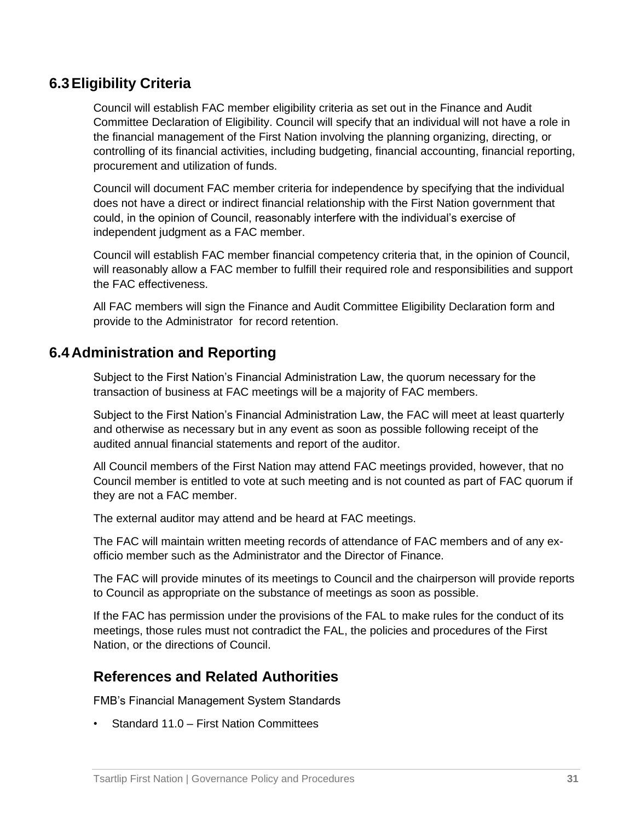## **6.3Eligibility Criteria**

Council will establish FAC member eligibility criteria as set out in the Finance and Audit Committee Declaration of Eligibility. Council will specify that an individual will not have a role in the financial management of the First Nation involving the planning organizing, directing, or controlling of its financial activities, including budgeting, financial accounting, financial reporting, procurement and utilization of funds.

Council will document FAC member criteria for independence by specifying that the individual does not have a direct or indirect financial relationship with the First Nation government that could, in the opinion of Council, reasonably interfere with the individual's exercise of independent judgment as a FAC member.

Council will establish FAC member financial competency criteria that, in the opinion of Council, will reasonably allow a FAC member to fulfill their required role and responsibilities and support the FAC effectiveness.

All FAC members will sign the Finance and Audit Committee Eligibility Declaration form and provide to the Administrator for record retention.

#### **6.4 Administration and Reporting**

Subject to the First Nation's Financial Administration Law, the quorum necessary for the transaction of business at FAC meetings will be a majority of FAC members.

Subject to the First Nation's Financial Administration Law, the FAC will meet at least quarterly and otherwise as necessary but in any event as soon as possible following receipt of the audited annual financial statements and report of the auditor.

All Council members of the First Nation may attend FAC meetings provided, however, that no Council member is entitled to vote at such meeting and is not counted as part of FAC quorum if they are not a FAC member.

The external auditor may attend and be heard at FAC meetings.

The FAC will maintain written meeting records of attendance of FAC members and of any exofficio member such as the Administrator and the Director of Finance.

The FAC will provide minutes of its meetings to Council and the chairperson will provide reports to Council as appropriate on the substance of meetings as soon as possible.

If the FAC has permission under the provisions of the FAL to make rules for the conduct of its meetings, those rules must not contradict the FAL, the policies and procedures of the First Nation, or the directions of Council.

## **References and Related Authorities**

FMB's Financial Management System Standards

• Standard 11.0 – First Nation Committees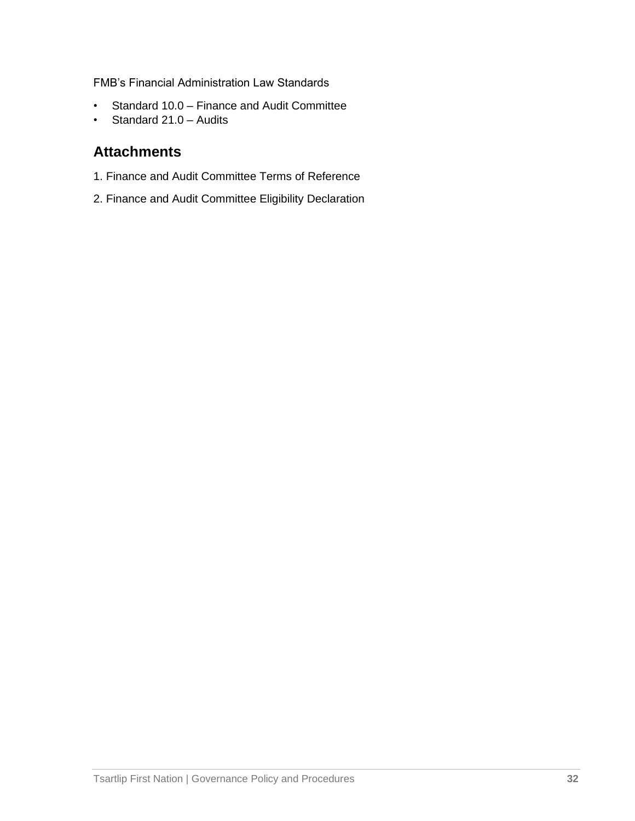FMB's Financial Administration Law Standards

- Standard 10.0 Finance and Audit Committee
- Standard 21.0 Audits

## **Attachments**

- 1. Finance and Audit Committee Terms of Reference
- 2. Finance and Audit Committee Eligibility Declaration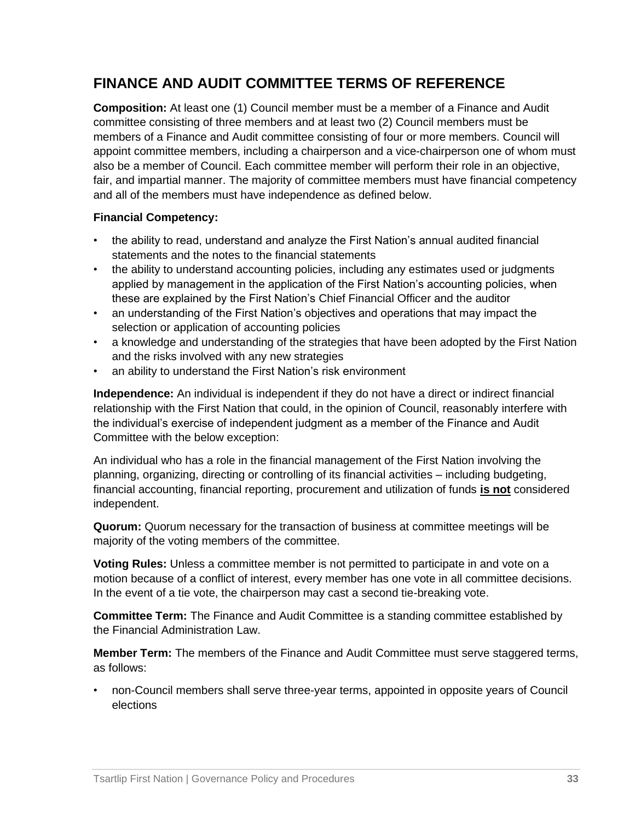## **FINANCE AND AUDIT COMMITTEE TERMS OF REFERENCE**

**Composition:** At least one (1) Council member must be a member of a Finance and Audit committee consisting of three members and at least two (2) Council members must be members of a Finance and Audit committee consisting of four or more members. Council will appoint committee members, including a chairperson and a vice-chairperson one of whom must also be a member of Council. Each committee member will perform their role in an objective, fair, and impartial manner. The majority of committee members must have financial competency and all of the members must have independence as defined below.

#### **Financial Competency:**

- the ability to read, understand and analyze the First Nation's annual audited financial statements and the notes to the financial statements
- the ability to understand accounting policies, including any estimates used or judgments applied by management in the application of the First Nation's accounting policies, when these are explained by the First Nation's Chief Financial Officer and the auditor
- an understanding of the First Nation's objectives and operations that may impact the selection or application of accounting policies
- a knowledge and understanding of the strategies that have been adopted by the First Nation and the risks involved with any new strategies
- an ability to understand the First Nation's risk environment

**Independence:** An individual is independent if they do not have a direct or indirect financial relationship with the First Nation that could, in the opinion of Council, reasonably interfere with the individual's exercise of independent judgment as a member of the Finance and Audit Committee with the below exception:

An individual who has a role in the financial management of the First Nation involving the planning, organizing, directing or controlling of its financial activities – including budgeting, financial accounting, financial reporting, procurement and utilization of funds **is not** considered independent.

**Quorum:** Quorum necessary for the transaction of business at committee meetings will be majority of the voting members of the committee.

**Voting Rules:** Unless a committee member is not permitted to participate in and vote on a motion because of a conflict of interest, every member has one vote in all committee decisions. In the event of a tie vote, the chairperson may cast a second tie-breaking vote.

**Committee Term:** The Finance and Audit Committee is a standing committee established by the Financial Administration Law.

**Member Term:** The members of the Finance and Audit Committee must serve staggered terms, as follows:

• non-Council members shall serve three-year terms, appointed in opposite years of Council elections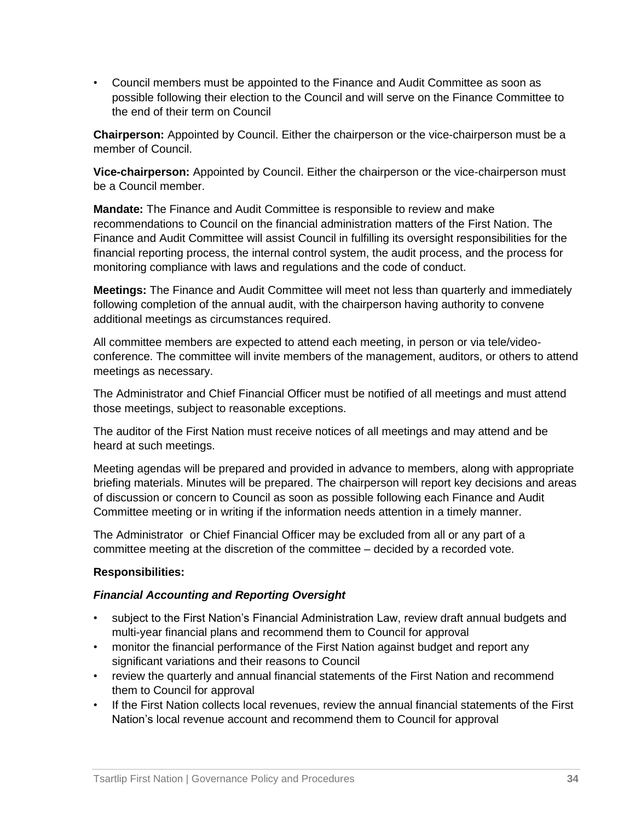• Council members must be appointed to the Finance and Audit Committee as soon as possible following their election to the Council and will serve on the Finance Committee to the end of their term on Council

**Chairperson:** Appointed by Council. Either the chairperson or the vice-chairperson must be a member of Council.

**Vice-chairperson:** Appointed by Council. Either the chairperson or the vice-chairperson must be a Council member.

**Mandate:** The Finance and Audit Committee is responsible to review and make recommendations to Council on the financial administration matters of the First Nation. The Finance and Audit Committee will assist Council in fulfilling its oversight responsibilities for the financial reporting process, the internal control system, the audit process, and the process for monitoring compliance with laws and regulations and the code of conduct.

**Meetings:** The Finance and Audit Committee will meet not less than quarterly and immediately following completion of the annual audit, with the chairperson having authority to convene additional meetings as circumstances required.

All committee members are expected to attend each meeting, in person or via tele/videoconference. The committee will invite members of the management, auditors, or others to attend meetings as necessary.

The Administrator and Chief Financial Officer must be notified of all meetings and must attend those meetings, subject to reasonable exceptions.

The auditor of the First Nation must receive notices of all meetings and may attend and be heard at such meetings.

Meeting agendas will be prepared and provided in advance to members, along with appropriate briefing materials. Minutes will be prepared. The chairperson will report key decisions and areas of discussion or concern to Council as soon as possible following each Finance and Audit Committee meeting or in writing if the information needs attention in a timely manner.

The Administrator or Chief Financial Officer may be excluded from all or any part of a committee meeting at the discretion of the committee – decided by a recorded vote.

#### **Responsibilities:**

#### *Financial Accounting and Reporting Oversight*

- subiect to the First Nation's Financial Administration Law, review draft annual budgets and multi-year financial plans and recommend them to Council for approval
- monitor the financial performance of the First Nation against budget and report any significant variations and their reasons to Council
- review the quarterly and annual financial statements of the First Nation and recommend them to Council for approval
- If the First Nation collects local revenues, review the annual financial statements of the First Nation's local revenue account and recommend them to Council for approval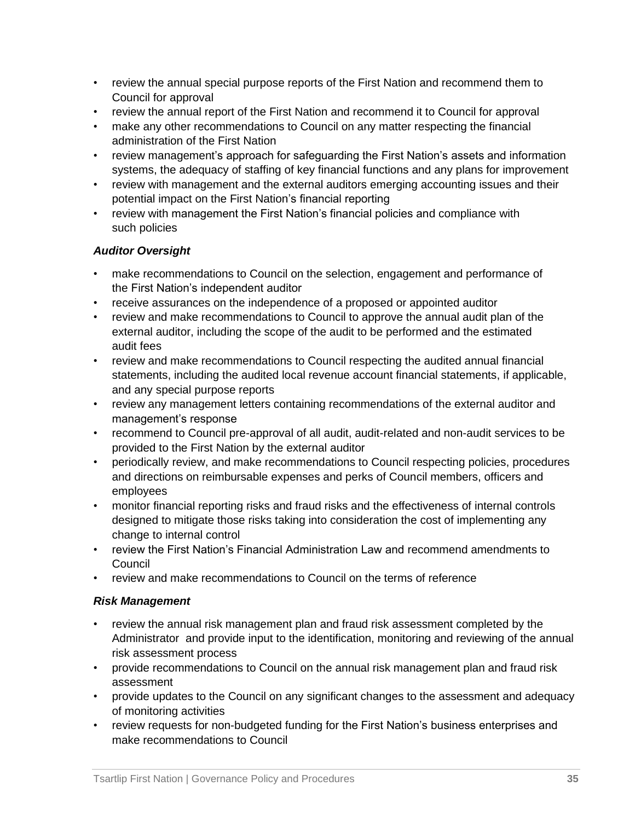- review the annual special purpose reports of the First Nation and recommend them to Council for approval
- review the annual report of the First Nation and recommend it to Council for approval
- make any other recommendations to Council on any matter respecting the financial administration of the First Nation
- review management's approach for safeguarding the First Nation's assets and information systems, the adequacy of staffing of key financial functions and any plans for improvement
- review with management and the external auditors emerging accounting issues and their potential impact on the First Nation's financial reporting
- review with management the First Nation's financial policies and compliance with such policies

#### *Auditor Oversight*

- make recommendations to Council on the selection, engagement and performance of the First Nation's independent auditor
- receive assurances on the independence of a proposed or appointed auditor
- review and make recommendations to Council to approve the annual audit plan of the external auditor, including the scope of the audit to be performed and the estimated audit fees
- review and make recommendations to Council respecting the audited annual financial statements, including the audited local revenue account financial statements, if applicable, and any special purpose reports
- review any management letters containing recommendations of the external auditor and management's response
- recommend to Council pre-approval of all audit, audit-related and non-audit services to be provided to the First Nation by the external auditor
- periodically review, and make recommendations to Council respecting policies, procedures and directions on reimbursable expenses and perks of Council members, officers and employees
- monitor financial reporting risks and fraud risks and the effectiveness of internal controls designed to mitigate those risks taking into consideration the cost of implementing any change to internal control
- review the First Nation's Financial Administration Law and recommend amendments to Council
- review and make recommendations to Council on the terms of reference

#### *Risk Management*

- review the annual risk management plan and fraud risk assessment completed by the Administrator and provide input to the identification, monitoring and reviewing of the annual risk assessment process
- provide recommendations to Council on the annual risk management plan and fraud risk assessment
- provide updates to the Council on any significant changes to the assessment and adequacy of monitoring activities
- review requests for non-budgeted funding for the First Nation's business enterprises and make recommendations to Council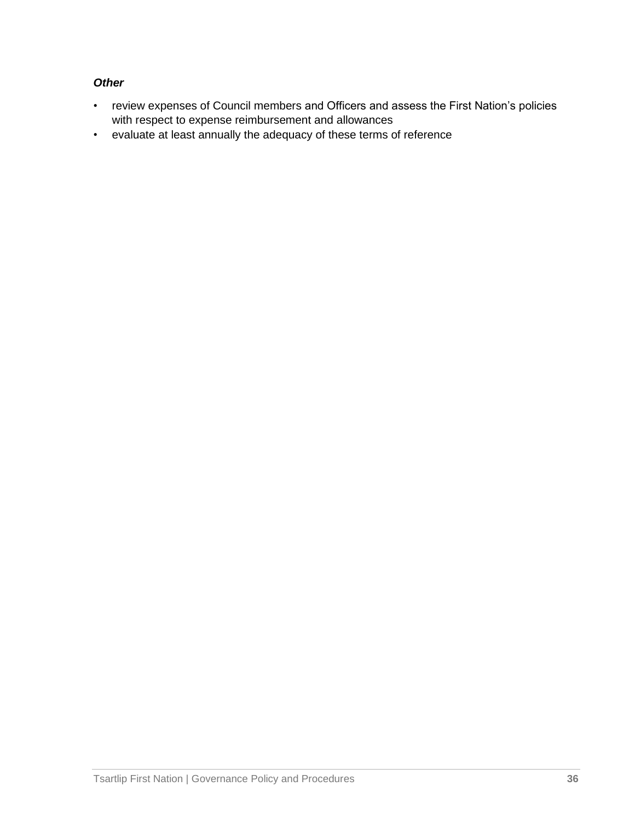#### *Other*

- review expenses of Council members and Officers and assess the First Nation's policies with respect to expense reimbursement and allowances
- evaluate at least annually the adequacy of these terms of reference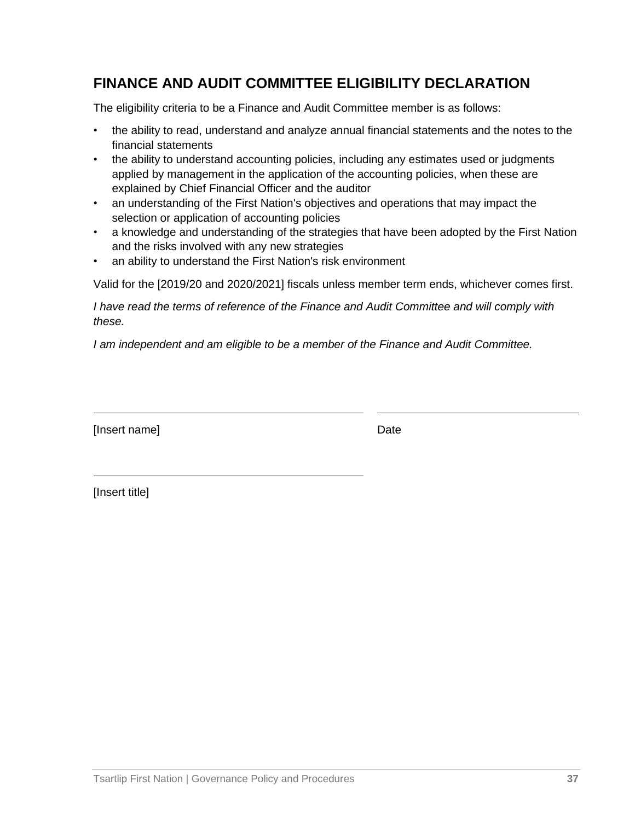## **FINANCE AND AUDIT COMMITTEE ELIGIBILITY DECLARATION**

The eligibility criteria to be a Finance and Audit Committee member is as follows:

- the ability to read, understand and analyze annual financial statements and the notes to the financial statements
- the ability to understand accounting policies, including any estimates used or judgments applied by management in the application of the accounting policies, when these are explained by Chief Financial Officer and the auditor
- an understanding of the First Nation's objectives and operations that may impact the selection or application of accounting policies
- a knowledge and understanding of the strategies that have been adopted by the First Nation and the risks involved with any new strategies
- an ability to understand the First Nation's risk environment

Valid for the [2019/20 and 2020/2021] fiscals unless member term ends, whichever comes first.

*I have read the terms of reference of the Finance and Audit Committee and will comply with these.*

*I am independent and am eligible to be a member of the Finance and Audit Committee.*

[Insert name] Date Date Date Date Date

[Insert title]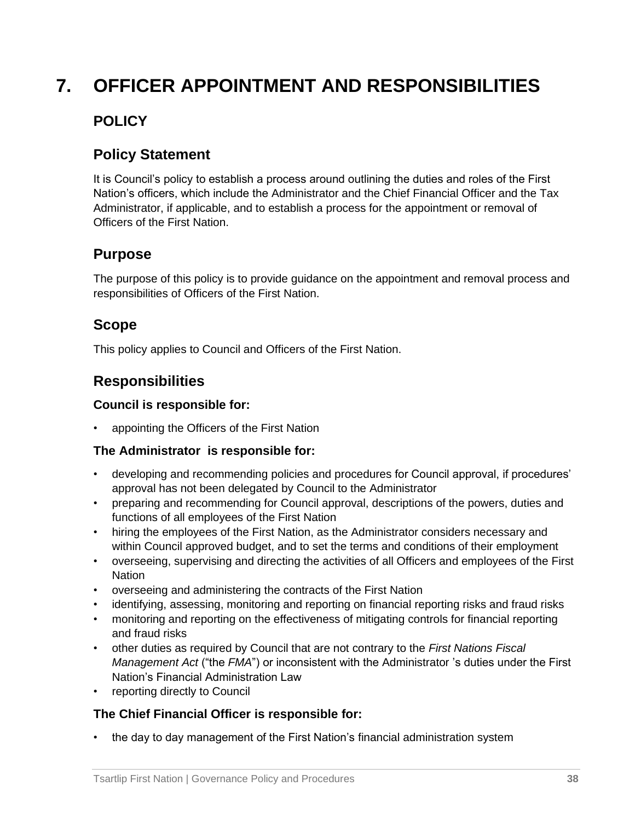## **7. OFFICER APPOINTMENT AND RESPONSIBILITIES**

## **POLICY**

## **Policy Statement**

It is Council's policy to establish a process around outlining the duties and roles of the First Nation's officers, which include the Administrator and the Chief Financial Officer and the Tax Administrator, if applicable, and to establish a process for the appointment or removal of Officers of the First Nation.

#### **Purpose**

The purpose of this policy is to provide guidance on the appointment and removal process and responsibilities of Officers of the First Nation.

## **Scope**

This policy applies to Council and Officers of the First Nation.

## **Responsibilities**

#### **Council is responsible for:**

• appointing the Officers of the First Nation

#### **The Administrator is responsible for:**

- developing and recommending policies and procedures for Council approval, if procedures' approval has not been delegated by Council to the Administrator
- preparing and recommending for Council approval, descriptions of the powers, duties and functions of all employees of the First Nation
- hiring the employees of the First Nation, as the Administrator considers necessary and within Council approved budget, and to set the terms and conditions of their employment
- overseeing, supervising and directing the activities of all Officers and employees of the First **Nation**
- overseeing and administering the contracts of the First Nation
- identifying, assessing, monitoring and reporting on financial reporting risks and fraud risks
- monitoring and reporting on the effectiveness of mitigating controls for financial reporting and fraud risks
- other duties as required by Council that are not contrary to the *First Nations Fiscal Management Act* ("the *FMA*") or inconsistent with the Administrator 's duties under the First Nation's Financial Administration Law
- reporting directly to Council

#### **The Chief Financial Officer is responsible for:**

• the day to day management of the First Nation's financial administration system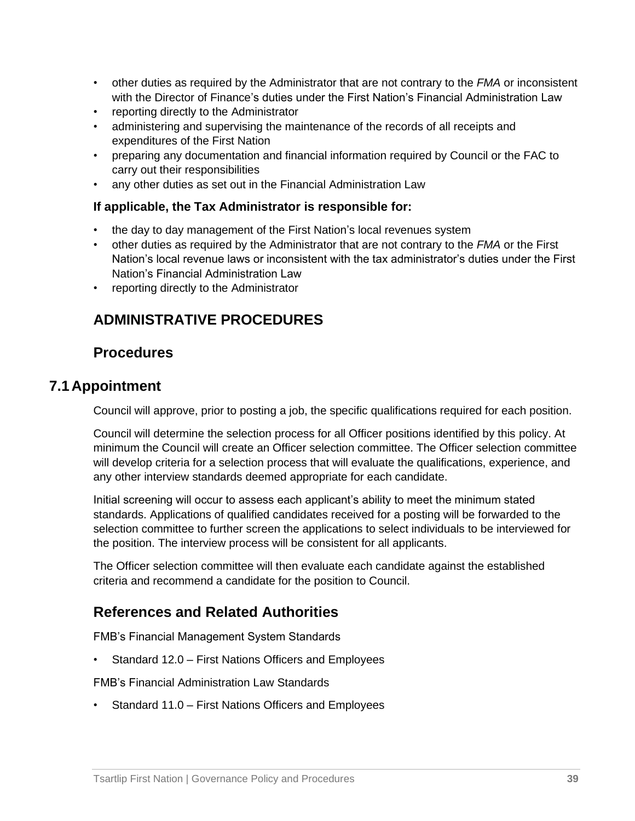- other duties as required by the Administrator that are not contrary to the *FMA* or inconsistent with the Director of Finance's duties under the First Nation's Financial Administration Law
- reporting directly to the Administrator
- administering and supervising the maintenance of the records of all receipts and expenditures of the First Nation
- preparing any documentation and financial information required by Council or the FAC to carry out their responsibilities
- any other duties as set out in the Financial Administration Law

#### **If applicable, the Tax Administrator is responsible for:**

- the day to day management of the First Nation's local revenues system
- other duties as required by the Administrator that are not contrary to the *FMA* or the First Nation's local revenue laws or inconsistent with the tax administrator's duties under the First Nation's Financial Administration Law
- reporting directly to the Administrator

## **ADMINISTRATIVE PROCEDURES**

#### **Procedures**

#### **7.1 Appointment**

Council will approve, prior to posting a job, the specific qualifications required for each position.

Council will determine the selection process for all Officer positions identified by this policy. At minimum the Council will create an Officer selection committee. The Officer selection committee will develop criteria for a selection process that will evaluate the qualifications, experience, and any other interview standards deemed appropriate for each candidate.

Initial screening will occur to assess each applicant's ability to meet the minimum stated standards. Applications of qualified candidates received for a posting will be forwarded to the selection committee to further screen the applications to select individuals to be interviewed for the position. The interview process will be consistent for all applicants.

The Officer selection committee will then evaluate each candidate against the established criteria and recommend a candidate for the position to Council.

## **References and Related Authorities**

FMB's Financial Management System Standards

• Standard 12.0 – First Nations Officers and Employees

FMB's Financial Administration Law Standards

• Standard 11.0 – First Nations Officers and Employees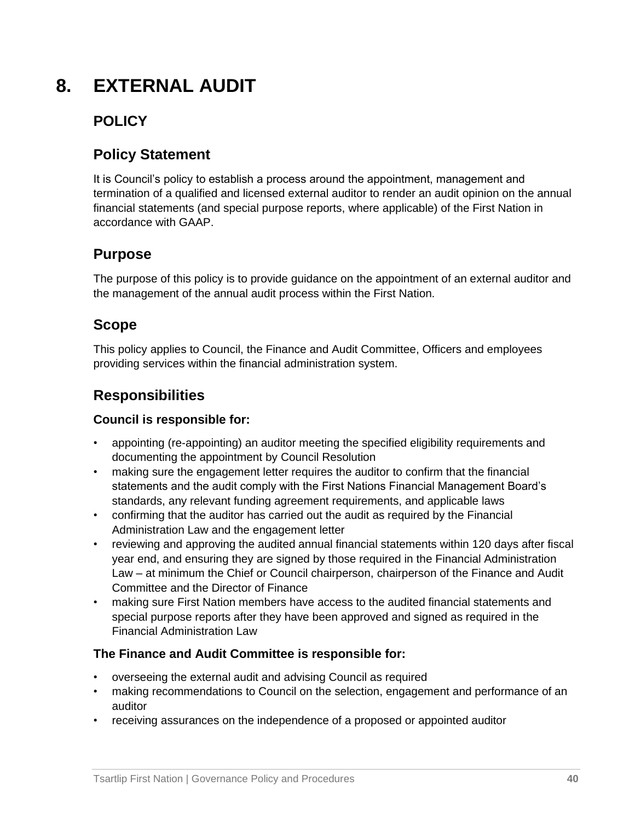## **8. EXTERNAL AUDIT**

## **POLICY**

## **Policy Statement**

It is Council's policy to establish a process around the appointment, management and termination of a qualified and licensed external auditor to render an audit opinion on the annual financial statements (and special purpose reports, where applicable) of the First Nation in accordance with GAAP.

## **Purpose**

The purpose of this policy is to provide guidance on the appointment of an external auditor and the management of the annual audit process within the First Nation.

## **Scope**

This policy applies to Council, the Finance and Audit Committee, Officers and employees providing services within the financial administration system.

## **Responsibilities**

#### **Council is responsible for:**

- appointing (re-appointing) an auditor meeting the specified eligibility requirements and documenting the appointment by Council Resolution
- making sure the engagement letter requires the auditor to confirm that the financial statements and the audit comply with the First Nations Financial Management Board's standards, any relevant funding agreement requirements, and applicable laws
- confirming that the auditor has carried out the audit as required by the Financial Administration Law and the engagement letter
- reviewing and approving the audited annual financial statements within 120 days after fiscal year end, and ensuring they are signed by those required in the Financial Administration Law – at minimum the Chief or Council chairperson, chairperson of the Finance and Audit Committee and the Director of Finance
- making sure First Nation members have access to the audited financial statements and special purpose reports after they have been approved and signed as required in the Financial Administration Law

#### **The Finance and Audit Committee is responsible for:**

- overseeing the external audit and advising Council as required
- making recommendations to Council on the selection, engagement and performance of an auditor
- receiving assurances on the independence of a proposed or appointed auditor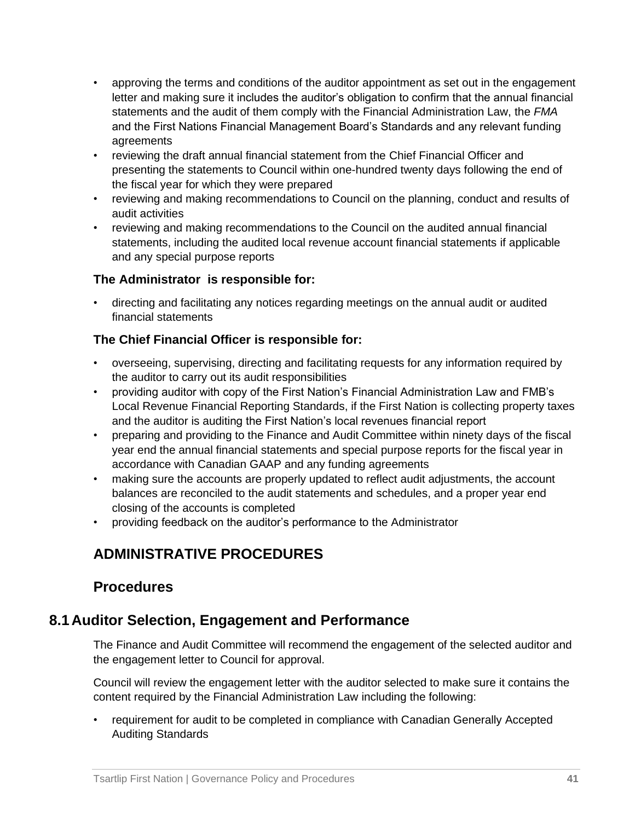- approving the terms and conditions of the auditor appointment as set out in the engagement letter and making sure it includes the auditor's obligation to confirm that the annual financial statements and the audit of them comply with the Financial Administration Law, the *FMA* and the First Nations Financial Management Board's Standards and any relevant funding agreements
- reviewing the draft annual financial statement from the Chief Financial Officer and presenting the statements to Council within one-hundred twenty days following the end of the fiscal year for which they were prepared
- reviewing and making recommendations to Council on the planning, conduct and results of audit activities
- reviewing and making recommendations to the Council on the audited annual financial statements, including the audited local revenue account financial statements if applicable and any special purpose reports

#### **The Administrator is responsible for:**

• directing and facilitating any notices regarding meetings on the annual audit or audited financial statements

#### **The Chief Financial Officer is responsible for:**

- overseeing, supervising, directing and facilitating requests for any information required by the auditor to carry out its audit responsibilities
- providing auditor with copy of the First Nation's Financial Administration Law and FMB's Local Revenue Financial Reporting Standards, if the First Nation is collecting property taxes and the auditor is auditing the First Nation's local revenues financial report
- preparing and providing to the Finance and Audit Committee within ninety days of the fiscal year end the annual financial statements and special purpose reports for the fiscal year in accordance with Canadian GAAP and any funding agreements
- making sure the accounts are properly updated to reflect audit adjustments, the account balances are reconciled to the audit statements and schedules, and a proper year end closing of the accounts is completed
- providing feedback on the auditor's performance to the Administrator

## **ADMINISTRATIVE PROCEDURES**

## **Procedures**

## **8.1 Auditor Selection, Engagement and Performance**

The Finance and Audit Committee will recommend the engagement of the selected auditor and the engagement letter to Council for approval.

Council will review the engagement letter with the auditor selected to make sure it contains the content required by the Financial Administration Law including the following:

• requirement for audit to be completed in compliance with Canadian Generally Accepted Auditing Standards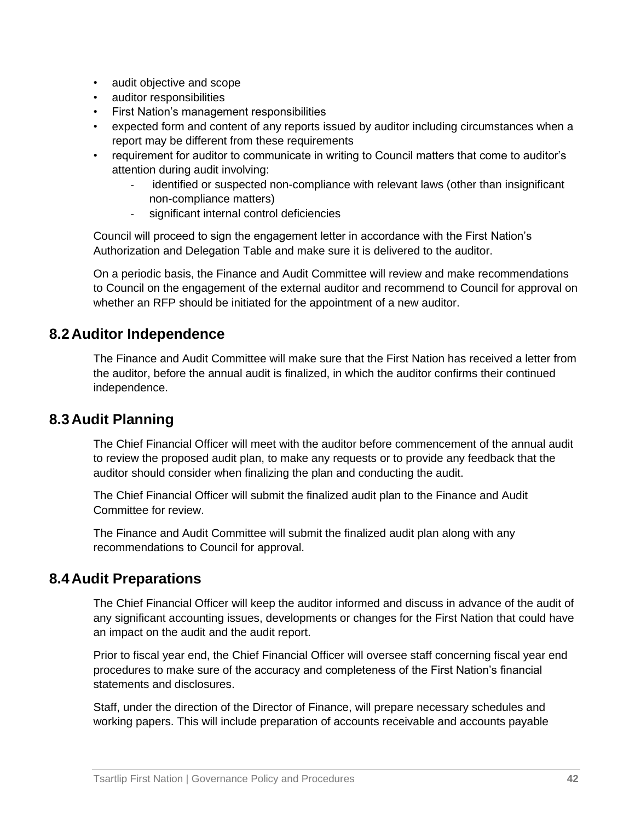- audit objective and scope
- auditor responsibilities
- First Nation's management responsibilities
- expected form and content of any reports issued by auditor including circumstances when a report may be different from these requirements
- requirement for auditor to communicate in writing to Council matters that come to auditor's attention during audit involving:
	- identified or suspected non-compliance with relevant laws (other than insignificant non-compliance matters)
	- significant internal control deficiencies

Council will proceed to sign the engagement letter in accordance with the First Nation's Authorization and Delegation Table and make sure it is delivered to the auditor.

On a periodic basis, the Finance and Audit Committee will review and make recommendations to Council on the engagement of the external auditor and recommend to Council for approval on whether an RFP should be initiated for the appointment of a new auditor.

#### **8.2 Auditor Independence**

The Finance and Audit Committee will make sure that the First Nation has received a letter from the auditor, before the annual audit is finalized, in which the auditor confirms their continued independence.

#### **8.3 Audit Planning**

The Chief Financial Officer will meet with the auditor before commencement of the annual audit to review the proposed audit plan, to make any requests or to provide any feedback that the auditor should consider when finalizing the plan and conducting the audit.

The Chief Financial Officer will submit the finalized audit plan to the Finance and Audit Committee for review.

The Finance and Audit Committee will submit the finalized audit plan along with any recommendations to Council for approval.

#### **8.4 Audit Preparations**

The Chief Financial Officer will keep the auditor informed and discuss in advance of the audit of any significant accounting issues, developments or changes for the First Nation that could have an impact on the audit and the audit report.

Prior to fiscal year end, the Chief Financial Officer will oversee staff concerning fiscal year end procedures to make sure of the accuracy and completeness of the First Nation's financial statements and disclosures.

Staff, under the direction of the Director of Finance, will prepare necessary schedules and working papers. This will include preparation of accounts receivable and accounts payable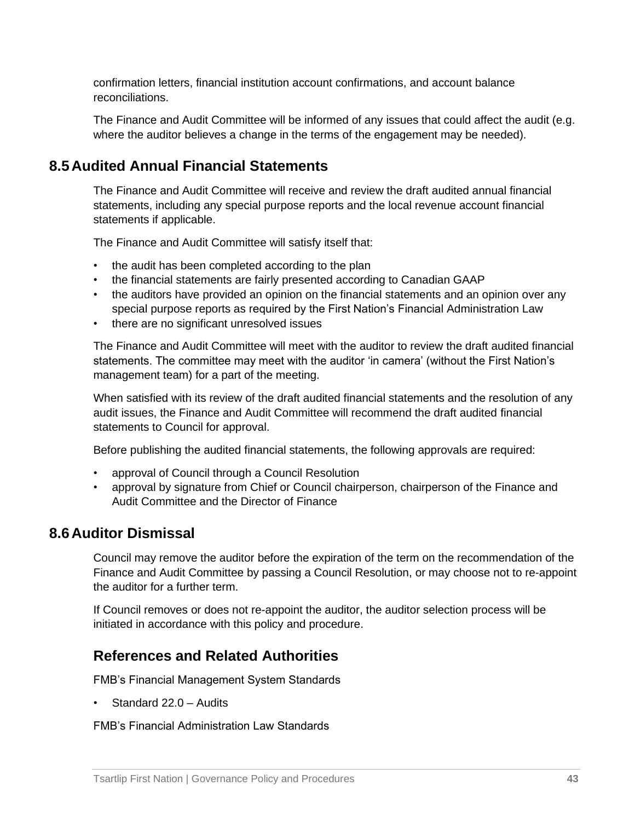confirmation letters, financial institution account confirmations, and account balance reconciliations.

The Finance and Audit Committee will be informed of any issues that could affect the audit (e.g. where the auditor believes a change in the terms of the engagement may be needed).

## **8.5 Audited Annual Financial Statements**

The Finance and Audit Committee will receive and review the draft audited annual financial statements, including any special purpose reports and the local revenue account financial statements if applicable.

The Finance and Audit Committee will satisfy itself that:

- the audit has been completed according to the plan
- the financial statements are fairly presented according to Canadian GAAP
- the auditors have provided an opinion on the financial statements and an opinion over any special purpose reports as required by the First Nation's Financial Administration Law
- there are no significant unresolved issues

The Finance and Audit Committee will meet with the auditor to review the draft audited financial statements. The committee may meet with the auditor 'in camera' (without the First Nation's management team) for a part of the meeting.

When satisfied with its review of the draft audited financial statements and the resolution of any audit issues, the Finance and Audit Committee will recommend the draft audited financial statements to Council for approval.

Before publishing the audited financial statements, the following approvals are required:

- approval of Council through a Council Resolution
- approval by signature from Chief or Council chairperson, chairperson of the Finance and Audit Committee and the Director of Finance

#### **8.6 Auditor Dismissal**

Council may remove the auditor before the expiration of the term on the recommendation of the Finance and Audit Committee by passing a Council Resolution, or may choose not to re-appoint the auditor for a further term.

If Council removes or does not re-appoint the auditor, the auditor selection process will be initiated in accordance with this policy and procedure.

#### **References and Related Authorities**

FMB's Financial Management System Standards

• Standard 22.0 – Audits

FMB's Financial Administration Law Standards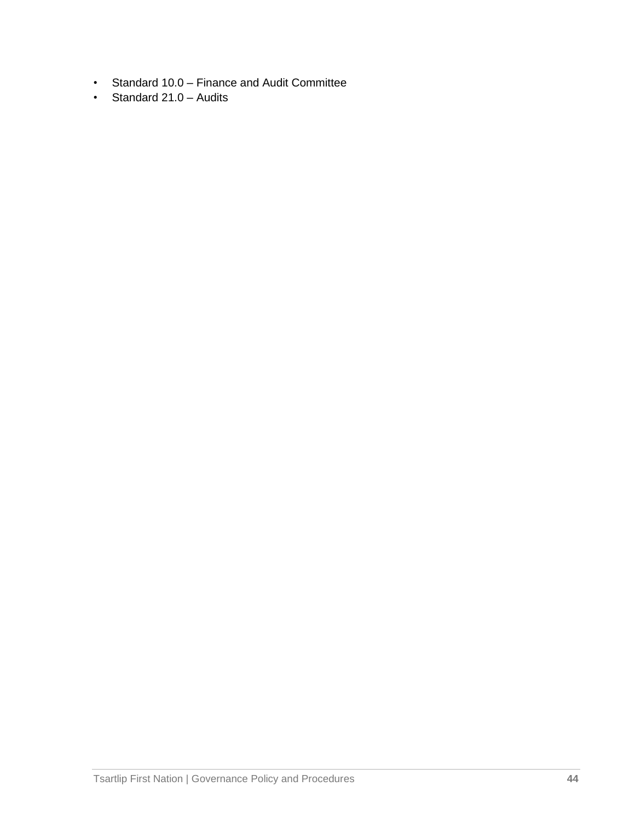- Standard 10.0 Finance and Audit Committee
- Standard 21.0 Audits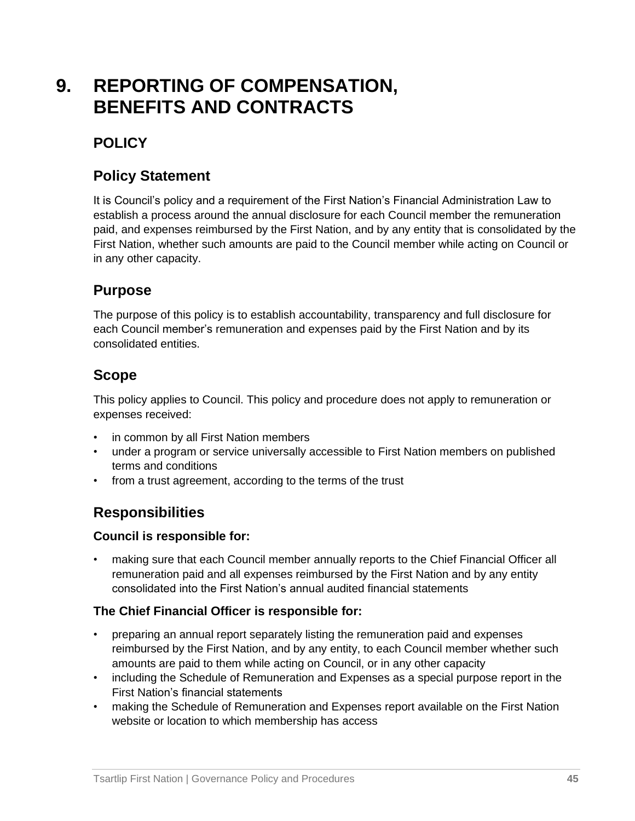## **9. REPORTING OF COMPENSATION, BENEFITS AND CONTRACTS**

## **POLICY**

## **Policy Statement**

It is Council's policy and a requirement of the First Nation's Financial Administration Law to establish a process around the annual disclosure for each Council member the remuneration paid, and expenses reimbursed by the First Nation, and by any entity that is consolidated by the First Nation, whether such amounts are paid to the Council member while acting on Council or in any other capacity.

## **Purpose**

The purpose of this policy is to establish accountability, transparency and full disclosure for each Council member's remuneration and expenses paid by the First Nation and by its consolidated entities.

## **Scope**

This policy applies to Council. This policy and procedure does not apply to remuneration or expenses received:

- in common by all First Nation members
- under a program or service universally accessible to First Nation members on published terms and conditions
- from a trust agreement, according to the terms of the trust

## **Responsibilities**

#### **Council is responsible for:**

• making sure that each Council member annually reports to the Chief Financial Officer all remuneration paid and all expenses reimbursed by the First Nation and by any entity consolidated into the First Nation's annual audited financial statements

#### **The Chief Financial Officer is responsible for:**

- preparing an annual report separately listing the remuneration paid and expenses reimbursed by the First Nation, and by any entity, to each Council member whether such amounts are paid to them while acting on Council, or in any other capacity
- including the Schedule of Remuneration and Expenses as a special purpose report in the First Nation's financial statements
- making the Schedule of Remuneration and Expenses report available on the First Nation website or location to which membership has access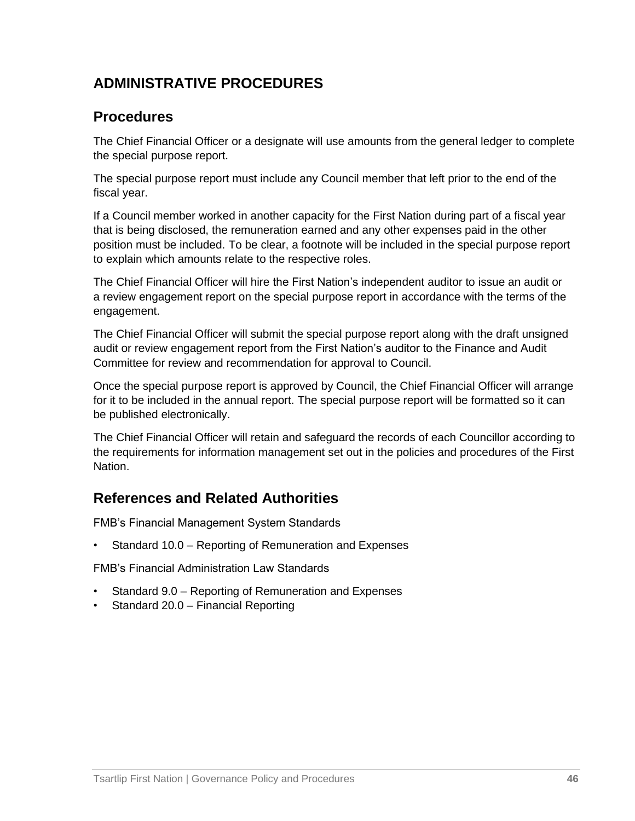## **ADMINISTRATIVE PROCEDURES**

#### **Procedures**

The Chief Financial Officer or a designate will use amounts from the general ledger to complete the special purpose report.

The special purpose report must include any Council member that left prior to the end of the fiscal year.

If a Council member worked in another capacity for the First Nation during part of a fiscal year that is being disclosed, the remuneration earned and any other expenses paid in the other position must be included. To be clear, a footnote will be included in the special purpose report to explain which amounts relate to the respective roles.

The Chief Financial Officer will hire the First Nation's independent auditor to issue an audit or a review engagement report on the special purpose report in accordance with the terms of the engagement.

The Chief Financial Officer will submit the special purpose report along with the draft unsigned audit or review engagement report from the First Nation's auditor to the Finance and Audit Committee for review and recommendation for approval to Council.

Once the special purpose report is approved by Council, the Chief Financial Officer will arrange for it to be included in the annual report. The special purpose report will be formatted so it can be published electronically.

The Chief Financial Officer will retain and safeguard the records of each Councillor according to the requirements for information management set out in the policies and procedures of the First Nation.

## **References and Related Authorities**

FMB's Financial Management System Standards

• Standard 10.0 – Reporting of Remuneration and Expenses

FMB's Financial Administration Law Standards

- Standard 9.0 Reporting of Remuneration and Expenses
- Standard 20.0 Financial Reporting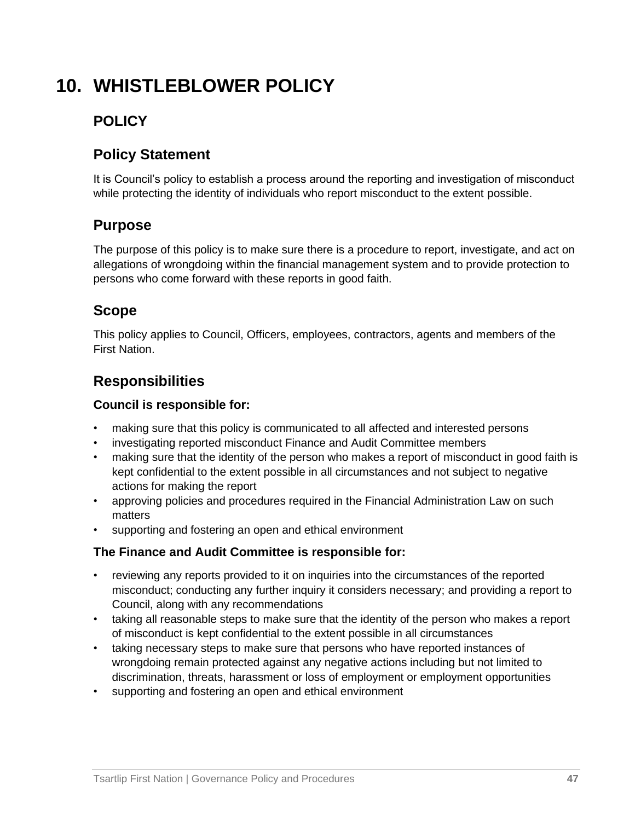## **10. WHISTLEBLOWER POLICY**

## **POLICY**

## **Policy Statement**

It is Council's policy to establish a process around the reporting and investigation of misconduct while protecting the identity of individuals who report misconduct to the extent possible.

## **Purpose**

The purpose of this policy is to make sure there is a procedure to report, investigate, and act on allegations of wrongdoing within the financial management system and to provide protection to persons who come forward with these reports in good faith.

## **Scope**

This policy applies to Council, Officers, employees, contractors, agents and members of the First Nation.

## **Responsibilities**

#### **Council is responsible for:**

- making sure that this policy is communicated to all affected and interested persons
- investigating reported misconduct Finance and Audit Committee members
- making sure that the identity of the person who makes a report of misconduct in good faith is kept confidential to the extent possible in all circumstances and not subject to negative actions for making the report
- approving policies and procedures required in the Financial Administration Law on such matters
- supporting and fostering an open and ethical environment

#### **The Finance and Audit Committee is responsible for:**

- reviewing any reports provided to it on inquiries into the circumstances of the reported misconduct; conducting any further inquiry it considers necessary; and providing a report to Council, along with any recommendations
- taking all reasonable steps to make sure that the identity of the person who makes a report of misconduct is kept confidential to the extent possible in all circumstances
- taking necessary steps to make sure that persons who have reported instances of wrongdoing remain protected against any negative actions including but not limited to discrimination, threats, harassment or loss of employment or employment opportunities
- supporting and fostering an open and ethical environment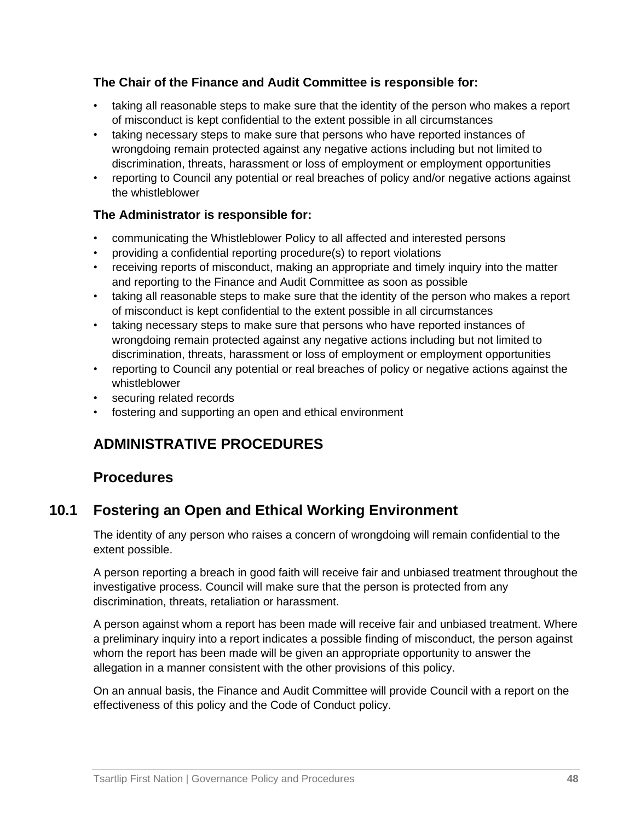#### **The Chair of the Finance and Audit Committee is responsible for:**

- taking all reasonable steps to make sure that the identity of the person who makes a report of misconduct is kept confidential to the extent possible in all circumstances
- taking necessary steps to make sure that persons who have reported instances of wrongdoing remain protected against any negative actions including but not limited to discrimination, threats, harassment or loss of employment or employment opportunities
- reporting to Council any potential or real breaches of policy and/or negative actions against the whistleblower

#### **The Administrator is responsible for:**

- communicating the Whistleblower Policy to all affected and interested persons
- providing a confidential reporting procedure(s) to report violations
- receiving reports of misconduct, making an appropriate and timely inquiry into the matter and reporting to the Finance and Audit Committee as soon as possible
- taking all reasonable steps to make sure that the identity of the person who makes a report of misconduct is kept confidential to the extent possible in all circumstances
- taking necessary steps to make sure that persons who have reported instances of wrongdoing remain protected against any negative actions including but not limited to discrimination, threats, harassment or loss of employment or employment opportunities
- reporting to Council any potential or real breaches of policy or negative actions against the whistleblower
- securing related records
- fostering and supporting an open and ethical environment

## **ADMINISTRATIVE PROCEDURES**

#### **Procedures**

## **10.1 Fostering an Open and Ethical Working Environment**

The identity of any person who raises a concern of wrongdoing will remain confidential to the extent possible.

A person reporting a breach in good faith will receive fair and unbiased treatment throughout the investigative process. Council will make sure that the person is protected from any discrimination, threats, retaliation or harassment.

A person against whom a report has been made will receive fair and unbiased treatment. Where a preliminary inquiry into a report indicates a possible finding of misconduct, the person against whom the report has been made will be given an appropriate opportunity to answer the allegation in a manner consistent with the other provisions of this policy.

On an annual basis, the Finance and Audit Committee will provide Council with a report on the effectiveness of this policy and the Code of Conduct policy.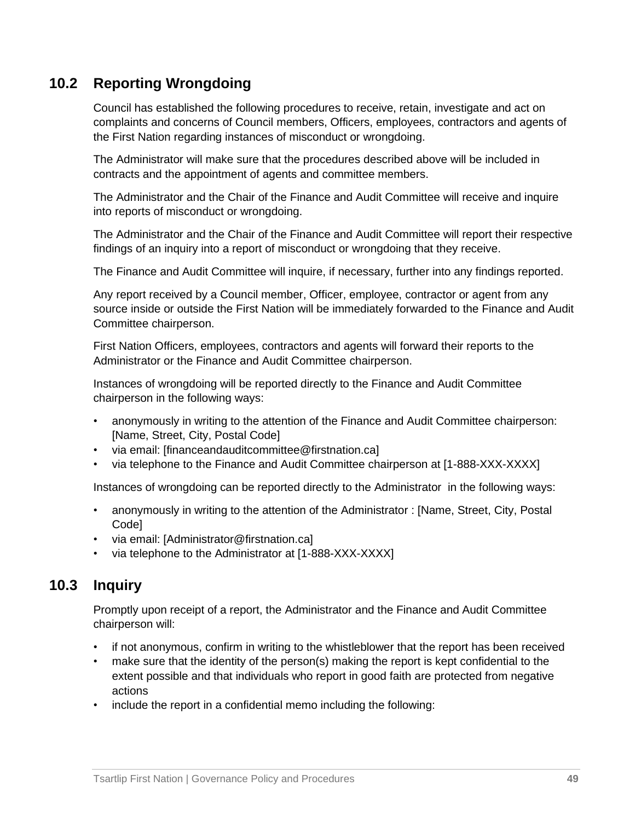## **10.2 Reporting Wrongdoing**

Council has established the following procedures to receive, retain, investigate and act on complaints and concerns of Council members, Officers, employees, contractors and agents of the First Nation regarding instances of misconduct or wrongdoing.

The Administrator will make sure that the procedures described above will be included in contracts and the appointment of agents and committee members.

The Administrator and the Chair of the Finance and Audit Committee will receive and inquire into reports of misconduct or wrongdoing.

The Administrator and the Chair of the Finance and Audit Committee will report their respective findings of an inquiry into a report of misconduct or wrongdoing that they receive.

The Finance and Audit Committee will inquire, if necessary, further into any findings reported.

Any report received by a Council member, Officer, employee, contractor or agent from any source inside or outside the First Nation will be immediately forwarded to the Finance and Audit Committee chairperson.

First Nation Officers, employees, contractors and agents will forward their reports to the Administrator or the Finance and Audit Committee chairperson.

Instances of wrongdoing will be reported directly to the Finance and Audit Committee chairperson in the following ways:

- anonymously in writing to the attention of the Finance and Audit Committee chairperson: [Name, Street, City, Postal Code]
- via email: [financeandauditcommittee@firstnation.ca]
- via telephone to the Finance and Audit Committee chairperson at [1-888-XXX-XXXX]

Instances of wrongdoing can be reported directly to the Administrator in the following ways:

- anonymously in writing to the attention of the Administrator : [Name, Street, City, Postal Code]
- via email: [Administrator@firstnation.ca]
- via telephone to the Administrator at [1-888-XXX-XXXX]

## **10.3 Inquiry**

Promptly upon receipt of a report, the Administrator and the Finance and Audit Committee chairperson will:

- if not anonymous, confirm in writing to the whistleblower that the report has been received
- make sure that the identity of the person(s) making the report is kept confidential to the extent possible and that individuals who report in good faith are protected from negative actions
- include the report in a confidential memo including the following: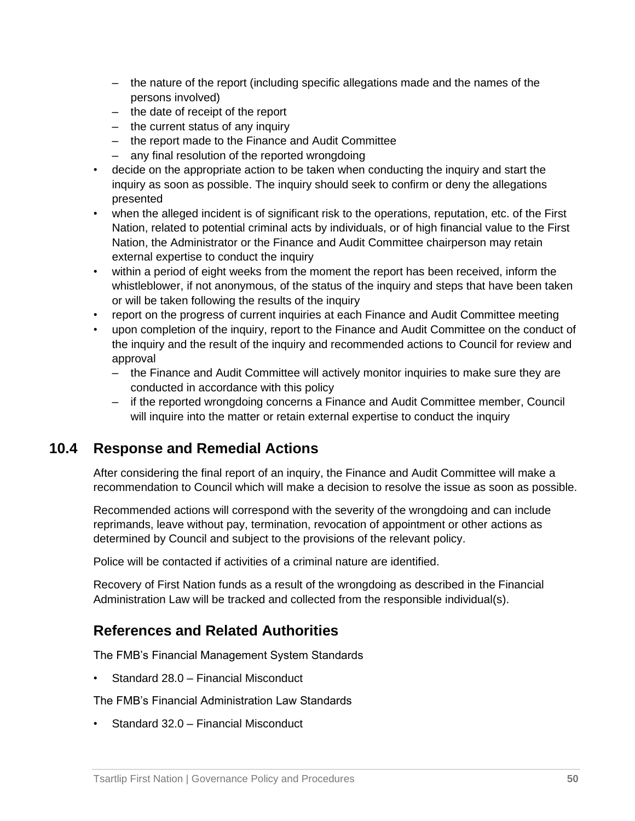- the nature of the report (including specific allegations made and the names of the persons involved)
- the date of receipt of the report
- the current status of any inquiry
- the report made to the Finance and Audit Committee
- any final resolution of the reported wrongdoing
- decide on the appropriate action to be taken when conducting the inquiry and start the inquiry as soon as possible. The inquiry should seek to confirm or deny the allegations presented
- when the alleged incident is of significant risk to the operations, reputation, etc. of the First Nation, related to potential criminal acts by individuals, or of high financial value to the First Nation, the Administrator or the Finance and Audit Committee chairperson may retain external expertise to conduct the inquiry
- within a period of eight weeks from the moment the report has been received, inform the whistleblower, if not anonymous, of the status of the inquiry and steps that have been taken or will be taken following the results of the inquiry
- report on the progress of current inquiries at each Finance and Audit Committee meeting
- upon completion of the inquiry, report to the Finance and Audit Committee on the conduct of the inquiry and the result of the inquiry and recommended actions to Council for review and approval
	- the Finance and Audit Committee will actively monitor inquiries to make sure they are conducted in accordance with this policy
	- if the reported wrongdoing concerns a Finance and Audit Committee member, Council will inquire into the matter or retain external expertise to conduct the inquiry

#### **10.4 Response and Remedial Actions**

After considering the final report of an inquiry, the Finance and Audit Committee will make a recommendation to Council which will make a decision to resolve the issue as soon as possible.

Recommended actions will correspond with the severity of the wrongdoing and can include reprimands, leave without pay, termination, revocation of appointment or other actions as determined by Council and subject to the provisions of the relevant policy.

Police will be contacted if activities of a criminal nature are identified.

Recovery of First Nation funds as a result of the wrongdoing as described in the Financial Administration Law will be tracked and collected from the responsible individual(s).

## **References and Related Authorities**

The FMB's Financial Management System Standards

• Standard 28.0 – Financial Misconduct

The FMB's Financial Administration Law Standards

• Standard 32.0 – Financial Misconduct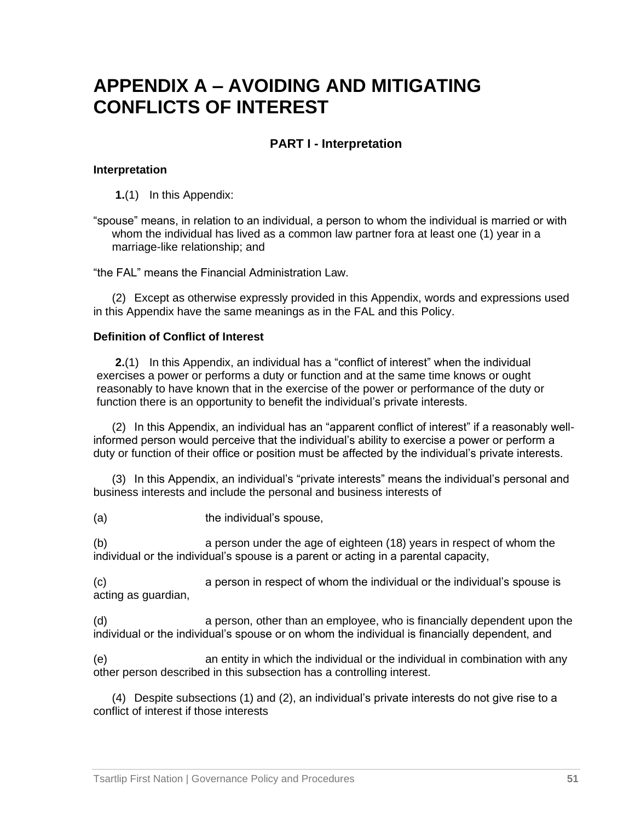## **APPENDIX A – AVOIDING AND MITIGATING CONFLICTS OF INTEREST**

#### **PART I - Interpretation**

#### **Interpretation**

**1.**(1) In this Appendix:

"spouse" means, in relation to an individual, a person to whom the individual is married or with whom the individual has lived as a common law partner fora at least one (1) year in a marriage-like relationship; and

"the FAL" means the Financial Administration Law.

(2) Except as otherwise expressly provided in this Appendix, words and expressions used in this Appendix have the same meanings as in the FAL and this Policy.

#### **Definition of Conflict of Interest**

**2.**(1) In this Appendix, an individual has a "conflict of interest" when the individual exercises a power or performs a duty or function and at the same time knows or ought reasonably to have known that in the exercise of the power or performance of the duty or function there is an opportunity to benefit the individual's private interests.

<span id="page-53-0"></span>(2) In this Appendix, an individual has an "apparent conflict of interest" if a reasonably wellinformed person would perceive that the individual's ability to exercise a power or perform a duty or function of their office or position must be affected by the individual's private interests.

(3) In this Appendix, an individual's "private interests" means the individual's personal and business interests and include the personal and business interests of

(a) the individual's spouse,

(b) a person under the age of eighteen (18) years in respect of whom the individual or the individual's spouse is a parent or acting in a parental capacity,

(c) a person in respect of whom the individual or the individual's spouse is acting as guardian,

(d) a person, other than an employee, who is financially dependent upon the individual or the individual's spouse or on whom the individual is financially dependent, and

(e) an entity in which the individual or the individual in combination with any other person described in this subsection has a controlling interest.

(4) Despite subsections (1) and [\(2\),](#page-53-0) an individual's private interests do not give rise to a conflict of interest if those interests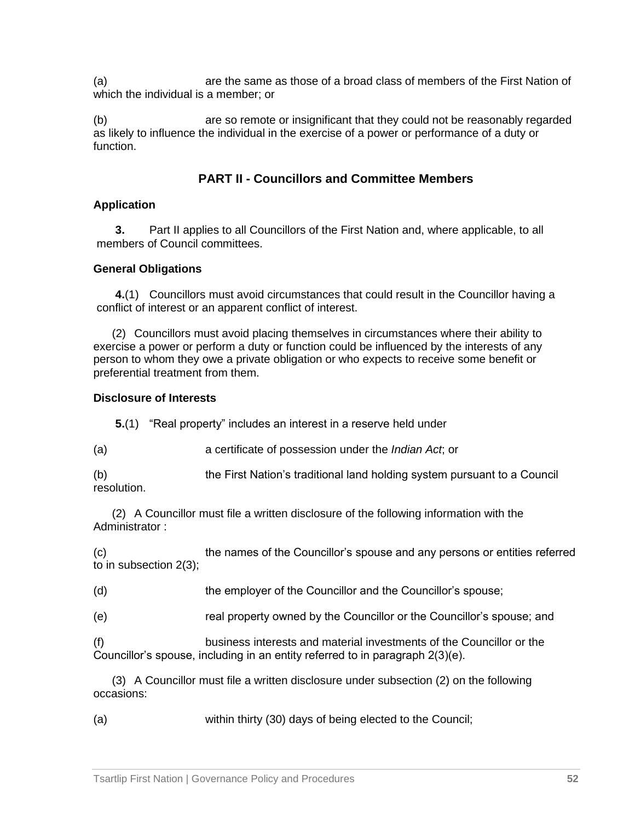(a) are the same as those of a broad class of members of the First Nation of which the individual is a member; or

(b) are so remote or insignificant that they could not be reasonably regarded as likely to influence the individual in the exercise of a power or performance of a duty or function.

#### **PART II - Councillors and Committee Members**

#### **Application**

**3.** Part II applies to all Councillors of the First Nation and, where applicable, to all members of Council committees.

#### **General Obligations**

**4.**(1) Councillors must avoid circumstances that could result in the Councillor having a conflict of interest or an apparent conflict of interest.

(2) Councillors must avoid placing themselves in circumstances where their ability to exercise a power or perform a duty or function could be influenced by the interests of any person to whom they owe a private obligation or who expects to receive some benefit or preferential treatment from them.

#### **Disclosure of Interests**

**5.**(1) "Real property" includes an interest in a reserve held under

(a) a certificate of possession under the *Indian Act*; or

(b) the First Nation's traditional land holding system pursuant to a Council resolution.

<span id="page-54-0"></span>(2) A Councillor must file a written disclosure of the following information with the Administrator ·

(c) the names of the Councillor's spouse and any persons or entities referred to in subsection 2(3);

(d) the employer of the Councillor and the Councillor's spouse;

(e) real property owned by the Councillor or the Councillor's spouse; and

(f) business interests and material investments of the Councillor or the Councillor's spouse, including in an entity referred to in paragraph 2(3)(e).

(3) A Councillor must file a written disclosure under subsection [\(2\)](#page-54-0) on the following occasions:

(a) within thirty (30) days of being elected to the Council;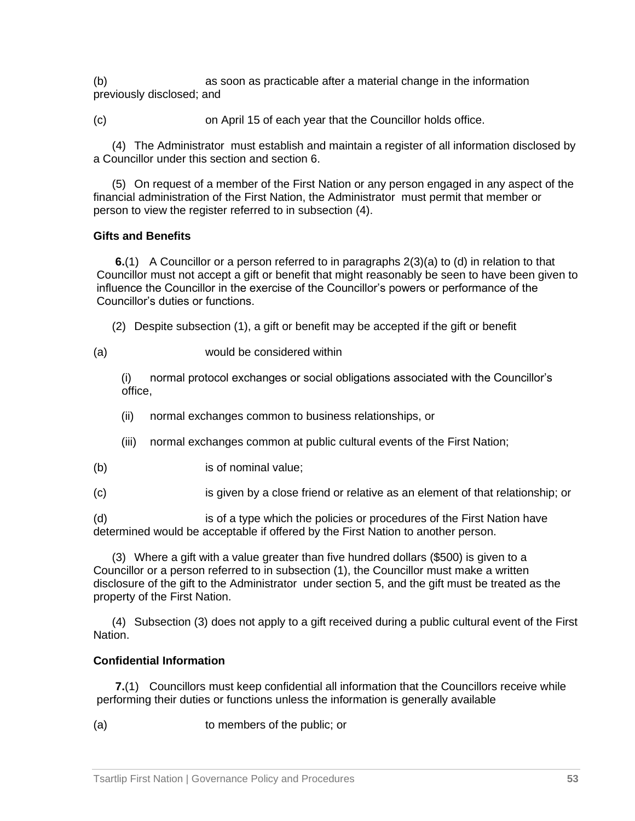(b) as soon as practicable after a material change in the information previously disclosed; and

(c) on April 15 of each year that the Councillor holds office.

<span id="page-55-0"></span>(4) The Administrator must establish and maintain a register of all information disclosed by a Councillor under this section and section 6.

(5) On request of a member of the First Nation or any person engaged in any aspect of the financial administration of the First Nation, the Administrator must permit that member or person to view the register referred to in subsection [\(4\).](#page-55-0)

#### **Gifts and Benefits**

**6.**(1) A Councillor or a person referred to in paragraphs 2(3)(a) to (d) in relation to that Councillor must not accept a gift or benefit that might reasonably be seen to have been given to influence the Councillor in the exercise of the Councillor's powers or performance of the Councillor's duties or functions.

(2) Despite subsection (1), a gift or benefit may be accepted if the gift or benefit

(a) would be considered within

(i) normal protocol exchanges or social obligations associated with the Councillor's office,

- (ii) normal exchanges common to business relationships, or
- (iii) normal exchanges common at public cultural events of the First Nation;
- (b) is of nominal value;
- (c) is given by a close friend or relative as an element of that relationship; or

(d) is of a type which the policies or procedures of the First Nation have determined would be acceptable if offered by the First Nation to another person.

<span id="page-55-1"></span>(3) Where a gift with a value greater than five hundred dollars (\$500) is given to a Councillor or a person referred to in subsection (1), the Councillor must make a written disclosure of the gift to the Administrator under section 5, and the gift must be treated as the property of the First Nation.

(4) Subsection [\(3\)](#page-55-1) does not apply to a gift received during a public cultural event of the First Nation.

#### **Confidential Information**

**7.**(1) Councillors must keep confidential all information that the Councillors receive while performing their duties or functions unless the information is generally available

(a) to members of the public; or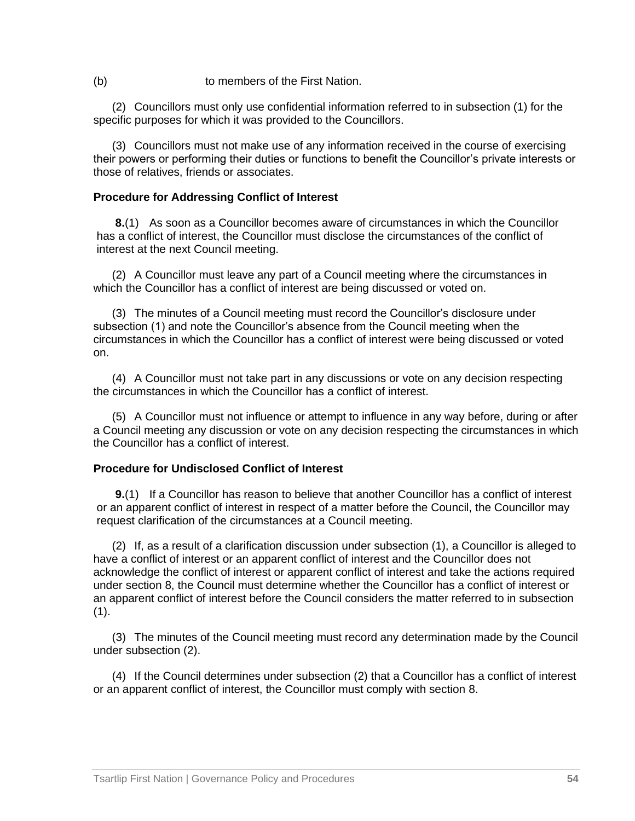(b) to members of the First Nation.

(2) Councillors must only use confidential information referred to in subsection (1) for the specific purposes for which it was provided to the Councillors.

(3) Councillors must not make use of any information received in the course of exercising their powers or performing their duties or functions to benefit the Councillor's private interests or those of relatives, friends or associates.

#### **Procedure for Addressing Conflict of Interest**

<span id="page-56-0"></span>**8.**(1) As soon as a Councillor becomes aware of circumstances in which the Councillor has a conflict of interest, the Councillor must disclose the circumstances of the conflict of interest at the next Council meeting.

(2) A Councillor must leave any part of a Council meeting where the circumstances in which the Councillor has a conflict of interest are being discussed or voted on.

(3) The minutes of a Council meeting must record the Councillor's disclosure under subsection (1) and note the Councillor's absence from the Council meeting when the circumstances in which the Councillor has a conflict of interest were being discussed or voted on.

(4) A Councillor must not take part in any discussions or vote on any decision respecting the circumstances in which the Councillor has a conflict of interest.

(5) A Councillor must not influence or attempt to influence in any way before, during or after a Council meeting any discussion or vote on any decision respecting the circumstances in which the Councillor has a conflict of interest.

#### **Procedure for Undisclosed Conflict of Interest**

<span id="page-56-2"></span>**9.**(1) If a Councillor has reason to believe that another Councillor has a conflict of interest or an apparent conflict of interest in respect of a matter before the Council, the Councillor may request clarification of the circumstances at a Council meeting.

<span id="page-56-1"></span>(2) If, as a result of a clarification discussion under subsection (1), a Councillor is alleged to have a conflict of interest or an apparent conflict of interest and the Councillor does not acknowledge the conflict of interest or apparent conflict of interest and take the actions required under section [8,](#page-56-0) the Council must determine whether the Councillor has a conflict of interest or an apparent conflict of interest before the Council considers the matter referred to in subsection (1).

(3) The minutes of the Council meeting must record any determination made by the Council under subsection [\(2\).](#page-56-1)

(4) If the Council determines under subsection [\(2\)](#page-56-1) that a Councillor has a conflict of interest or an apparent conflict of interest, the Councillor must comply with section [8.](#page-56-0)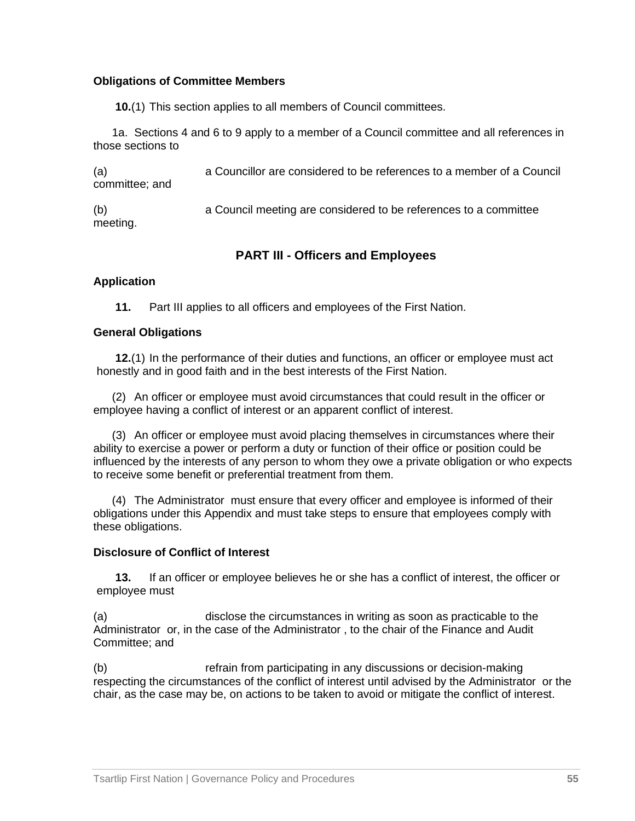#### **Obligations of Committee Members**

**10.**(1) This section applies to all members of Council committees.

1a. Sections 4 and 6 to [9](#page-56-2) apply to a member of a Council committee and all references in those sections to

(a) a Councillor are considered to be references to a member of a Council committee; and (b) a Council meeting are considered to be references to a committee meeting.

#### **PART III - Officers and Employees**

#### **Application**

**11.** Part III applies to all officers and employees of the First Nation.

#### **General Obligations**

**12.**(1) In the performance of their duties and functions, an officer or employee must act honestly and in good faith and in the best interests of the First Nation.

(2) An officer or employee must avoid circumstances that could result in the officer or employee having a conflict of interest or an apparent conflict of interest.

(3) An officer or employee must avoid placing themselves in circumstances where their ability to exercise a power or perform a duty or function of their office or position could be influenced by the interests of any person to whom they owe a private obligation or who expects to receive some benefit or preferential treatment from them.

(4) The Administrator must ensure that every officer and employee is informed of their obligations under this Appendix and must take steps to ensure that employees comply with these obligations.

#### **Disclosure of Conflict of Interest**

**13.** If an officer or employee believes he or she has a conflict of interest, the officer or employee must

(a) disclose the circumstances in writing as soon as practicable to the Administrator or, in the case of the Administrator , to the chair of the Finance and Audit Committee; and

(b) refrain from participating in any discussions or decision-making respecting the circumstances of the conflict of interest until advised by the Administrator or the chair, as the case may be, on actions to be taken to avoid or mitigate the conflict of interest.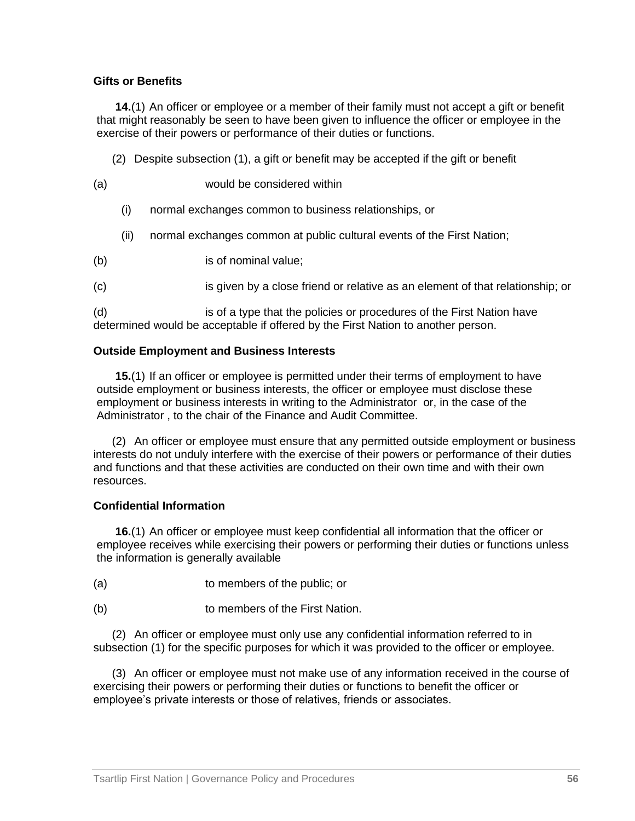#### **Gifts or Benefits**

**14.**(1) An officer or employee or a member of their family must not accept a gift or benefit that might reasonably be seen to have been given to influence the officer or employee in the exercise of their powers or performance of their duties or functions.

- (2) Despite subsection (1), a gift or benefit may be accepted if the gift or benefit
- (a) would be considered within
	- (i) normal exchanges common to business relationships, or
	- (ii) normal exchanges common at public cultural events of the First Nation;
- (b) is of nominal value;
- (c) is given by a close friend or relative as an element of that relationship; or

(d) is of a type that the policies or procedures of the First Nation have determined would be acceptable if offered by the First Nation to another person.

#### **Outside Employment and Business Interests**

**15.**(1) If an officer or employee is permitted under their terms of employment to have outside employment or business interests, the officer or employee must disclose these employment or business interests in writing to the Administrator or, in the case of the Administrator , to the chair of the Finance and Audit Committee.

(2) An officer or employee must ensure that any permitted outside employment or business interests do not unduly interfere with the exercise of their powers or performance of their duties and functions and that these activities are conducted on their own time and with their own resources.

#### **Confidential Information**

**16.**(1) An officer or employee must keep confidential all information that the officer or employee receives while exercising their powers or performing their duties or functions unless the information is generally available

- (a) to members of the public; or
- (b) to members of the First Nation.

(2) An officer or employee must only use any confidential information referred to in subsection (1) for the specific purposes for which it was provided to the officer or employee.

(3) An officer or employee must not make use of any information received in the course of exercising their powers or performing their duties or functions to benefit the officer or employee's private interests or those of relatives, friends or associates.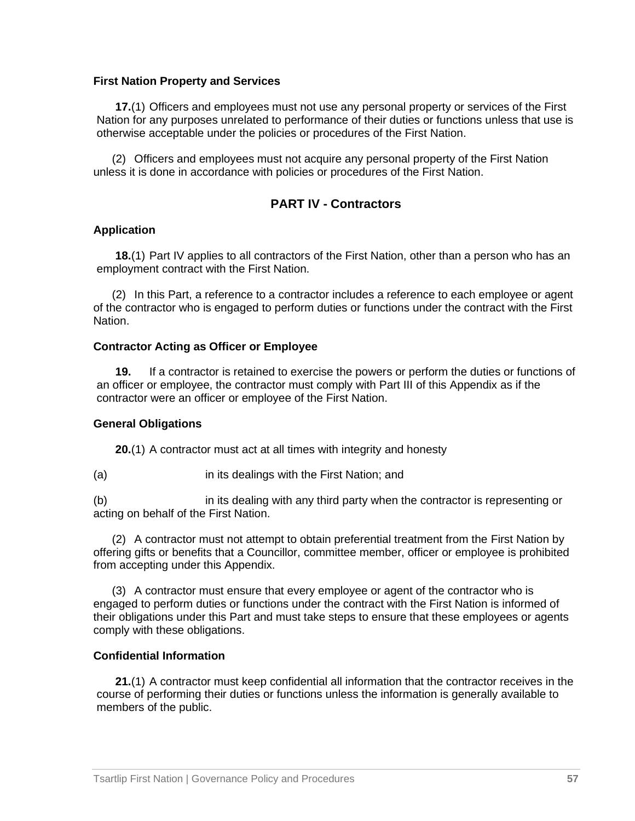#### **First Nation Property and Services**

**17.**(1) Officers and employees must not use any personal property or services of the First Nation for any purposes unrelated to performance of their duties or functions unless that use is otherwise acceptable under the policies or procedures of the First Nation.

(2) Officers and employees must not acquire any personal property of the First Nation unless it is done in accordance with policies or procedures of the First Nation.

#### **PART IV - Contractors**

#### **Application**

**18.**(1) Part IV applies to all contractors of the First Nation, other than a person who has an employment contract with the First Nation.

(2) In this Part, a reference to a contractor includes a reference to each employee or agent of the contractor who is engaged to perform duties or functions under the contract with the First Nation.

#### **Contractor Acting as Officer or Employee**

**19.** If a contractor is retained to exercise the powers or perform the duties or functions of an officer or employee, the contractor must comply with Part III of this Appendix as if the contractor were an officer or employee of the First Nation.

#### **General Obligations**

**20.**(1) A contractor must act at all times with integrity and honesty

(a) in its dealings with the First Nation; and

(b) in its dealing with any third party when the contractor is representing or acting on behalf of the First Nation.

(2) A contractor must not attempt to obtain preferential treatment from the First Nation by offering gifts or benefits that a Councillor, committee member, officer or employee is prohibited from accepting under this Appendix.

(3) A contractor must ensure that every employee or agent of the contractor who is engaged to perform duties or functions under the contract with the First Nation is informed of their obligations under this Part and must take steps to ensure that these employees or agents comply with these obligations.

#### **Confidential Information**

**21.**(1) A contractor must keep confidential all information that the contractor receives in the course of performing their duties or functions unless the information is generally available to members of the public.